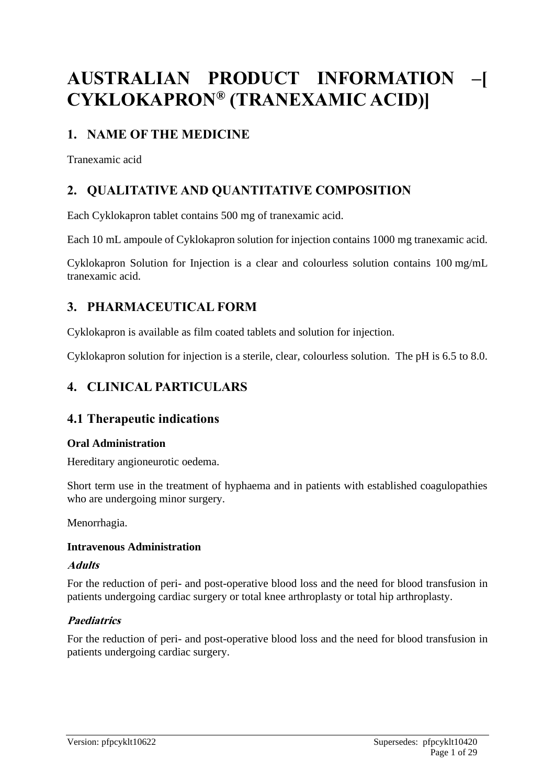# **AUSTRALIAN PRODUCT INFORMATION –[ CYKLOKAPRON® (TRANEXAMIC ACID)]**

# **1. NAME OF THE MEDICINE**

Tranexamic acid

# **2. QUALITATIVE AND QUANTITATIVE COMPOSITION**

Each Cyklokapron tablet contains 500 mg of tranexamic acid.

Each 10 mL ampoule of Cyklokapron solution for injection contains 1000 mg tranexamic acid.

Cyklokapron Solution for Injection is a clear and colourless solution contains 100 mg/mL tranexamic acid.

# **3. PHARMACEUTICAL FORM**

Cyklokapron is available as film coated tablets and solution for injection.

Cyklokapron solution for injection is a sterile, clear, colourless solution. The pH is 6.5 to 8.0.

# **4. CLINICAL PARTICULARS**

# **4.1 Therapeutic indications**

### **Oral Administration**

Hereditary angioneurotic oedema.

Short term use in the treatment of hyphaema and in patients with established coagulopathies who are undergoing minor surgery.

Menorrhagia.

### **Intravenous Administration**

### **Adults**

For the reduction of peri- and post-operative blood loss and the need for blood transfusion in patients undergoing cardiac surgery or total knee arthroplasty or total hip arthroplasty.

# **Paediatrics**

For the reduction of peri- and post-operative blood loss and the need for blood transfusion in patients undergoing cardiac surgery.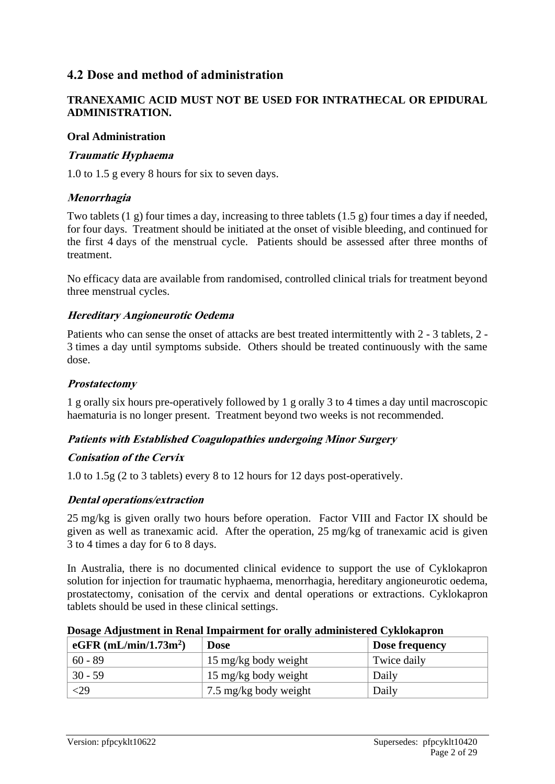# **4.2 Dose and method of administration**

### **TRANEXAMIC ACID MUST NOT BE USED FOR INTRATHECAL OR EPIDURAL ADMINISTRATION.**

#### **Oral Administration**

### **Traumatic Hyphaema**

1.0 to 1.5 g every 8 hours for six to seven days.

#### **Menorrhagia**

Two tablets  $(1 \text{ g})$  four times a day, increasing to three tablets  $(1.5 \text{ g})$  four times a day if needed, for four days. Treatment should be initiated at the onset of visible bleeding, and continued for the first 4 days of the menstrual cycle. Patients should be assessed after three months of treatment.

No efficacy data are available from randomised, controlled clinical trials for treatment beyond three menstrual cycles.

#### **Hereditary Angioneurotic Oedema**

Patients who can sense the onset of attacks are best treated intermittently with 2 - 3 tablets, 2 - 3 times a day until symptoms subside. Others should be treated continuously with the same dose.

#### **Prostatectomy**

1 g orally six hours pre-operatively followed by 1 g orally 3 to 4 times a day until macroscopic haematuria is no longer present. Treatment beyond two weeks is not recommended.

### **Patients with Established Coagulopathies undergoing Minor Surgery**

#### **Conisation of the Cervix**

1.0 to 1.5g (2 to 3 tablets) every 8 to 12 hours for 12 days post-operatively.

### **Dental operations/extraction**

25 mg/kg is given orally two hours before operation. Factor VIII and Factor IX should be given as well as tranexamic acid. After the operation, 25 mg/kg of tranexamic acid is given 3 to 4 times a day for 6 to 8 days.

In Australia, there is no documented clinical evidence to support the use of Cyklokapron solution for injection for traumatic hyphaema, menorrhagia, hereditary angioneurotic oedema, prostatectomy, conisation of the cervix and dental operations or extractions. Cyklokapron tablets should be used in these clinical settings.

| Dosage Adjustment in Renal Impairment for orally administered Cyklokapron |  |  |
|---------------------------------------------------------------------------|--|--|
|                                                                           |  |  |

| eGFR $(mL/min/1.73m2)$ | <b>Dose</b>           | Dose frequency |
|------------------------|-----------------------|----------------|
| $60 - 89$              | 15 mg/kg body weight  | Twice daily    |
| $30 - 59$              | 15 mg/kg body weight  | Daily          |
| $<$ 29                 | 7.5 mg/kg body weight | Daily          |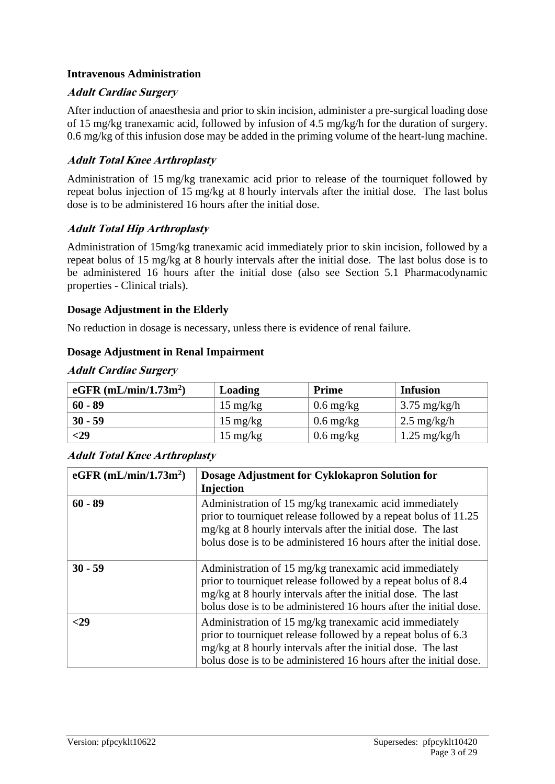#### **Intravenous Administration**

#### **Adult Cardiac Surgery**

After induction of anaesthesia and prior to skin incision, administer a pre-surgical loading dose of 15 mg/kg tranexamic acid, followed by infusion of 4.5 mg/kg/h for the duration of surgery. 0.6 mg/kg of this infusion dose may be added in the priming volume of the heart-lung machine.

#### **Adult Total Knee Arthroplasty**

Administration of 15 mg/kg tranexamic acid prior to release of the tourniquet followed by repeat bolus injection of 15 mg/kg at 8 hourly intervals after the initial dose. The last bolus dose is to be administered 16 hours after the initial dose.

#### **Adult Total Hip Arthroplasty**

Administration of 15mg/kg tranexamic acid immediately prior to skin incision, followed by a repeat bolus of 15 mg/kg at 8 hourly intervals after the initial dose. The last bolus dose is to be administered 16 hours after the initial dose (also see Section 5.1 Pharmacodynamic properties - Clinical trials).

#### **Dosage Adjustment in the Elderly**

No reduction in dosage is necessary, unless there is evidence of renal failure.

#### **Dosage Adjustment in Renal Impairment**

| eGFR $(mL/min/1.73m2)$ | <b>Loading</b>     | <b>Prime</b>        | <b>Infusion</b>        |  |
|------------------------|--------------------|---------------------|------------------------|--|
| $60 - 89$              | $15 \text{ mg/kg}$ | $0.6 \text{ mg/kg}$ | $3.75 \text{ mg/kg/h}$ |  |
| $30 - 59$              | $15 \text{ mg/kg}$ | $0.6 \text{ mg/kg}$ | $2.5 \text{ mg/kg/h}$  |  |
| $<$ 29                 | $15 \text{ mg/kg}$ | $0.6 \text{ mg/kg}$ | $1.25 \text{ mg/kg/h}$ |  |

#### **Adult Cardiac Surgery**

### **Adult Total Knee Arthroplasty**

| eGFR $(mL/min/1.73m2)$ | Dosage Adjustment for Cyklokapron Solution for<br><b>Injection</b>                                                                                                                                                                                             |
|------------------------|----------------------------------------------------------------------------------------------------------------------------------------------------------------------------------------------------------------------------------------------------------------|
| $60 - 89$              | Administration of 15 mg/kg tranexamic acid immediately<br>prior to tourniquet release followed by a repeat bolus of 11.25<br>mg/kg at 8 hourly intervals after the initial dose. The last<br>bolus dose is to be administered 16 hours after the initial dose. |
| $30 - 59$              | Administration of 15 mg/kg tranexamic acid immediately<br>prior to tourniquet release followed by a repeat bolus of 8.4<br>mg/kg at 8 hourly intervals after the initial dose. The last<br>bolus dose is to be administered 16 hours after the initial dose.   |
| -29                    | Administration of 15 mg/kg tranexamic acid immediately<br>prior to tourniquet release followed by a repeat bolus of 6.3<br>mg/kg at 8 hourly intervals after the initial dose. The last<br>bolus dose is to be administered 16 hours after the initial dose.   |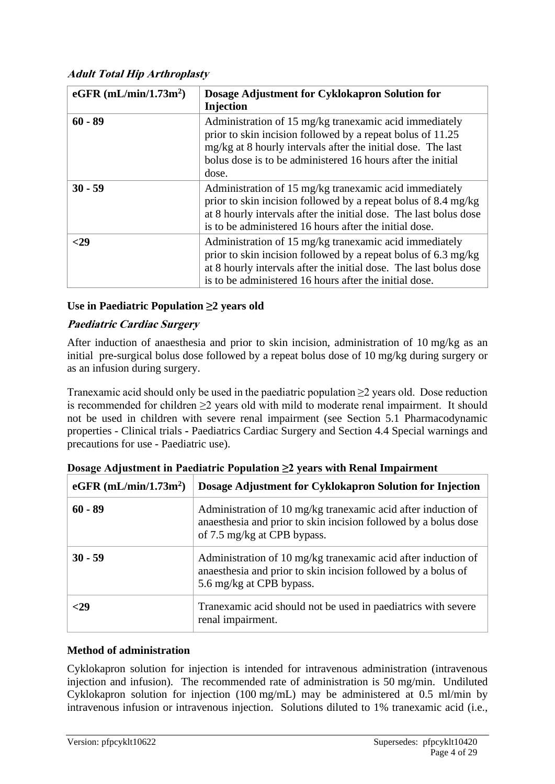### **Adult Total Hip Arthroplasty**

| eGFR $(mL/min/1.73m2)$ | Dosage Adjustment for Cyklokapron Solution for<br>Injection                                                                                                                                                                                                  |
|------------------------|--------------------------------------------------------------------------------------------------------------------------------------------------------------------------------------------------------------------------------------------------------------|
| $60 - 89$              | Administration of 15 mg/kg tranexamic acid immediately<br>prior to skin incision followed by a repeat bolus of 11.25<br>mg/kg at 8 hourly intervals after the initial dose. The last<br>bolus dose is to be administered 16 hours after the initial<br>dose. |
| $30 - 59$              | Administration of 15 mg/kg tranexamic acid immediately<br>prior to skin incision followed by a repeat bolus of 8.4 mg/kg<br>at 8 hourly intervals after the initial dose. The last bolus dose<br>is to be administered 16 hours after the initial dose.      |
| -29                    | Administration of 15 mg/kg tranexamic acid immediately<br>prior to skin incision followed by a repeat bolus of 6.3 mg/kg<br>at 8 hourly intervals after the initial dose. The last bolus dose<br>is to be administered 16 hours after the initial dose.      |

#### **Use in Paediatric Population ≥2 years old**

#### **Paediatric Cardiac Surgery**

After induction of anaesthesia and prior to skin incision, administration of 10 mg/kg as an initial pre-surgical bolus dose followed by a repeat bolus dose of 10 mg/kg during surgery or as an infusion during surgery.

Tranexamic acid should only be used in the paediatric population  $\geq 2$  years old. Dose reduction is recommended for children  $\geq$  years old with mild to moderate renal impairment. It should not be used in children with severe renal impairment (see Section 5.1 Pharmacodynamic properties - Clinical trials **-** Paediatrics Cardiac Surgery and Section 4.4 Special warnings and precautions for use - Paediatric use).

| eGFR $(mL/min/1.73m2)$ | Dosage Adjustment for Cyklokapron Solution for Injection                                                                                                        |
|------------------------|-----------------------------------------------------------------------------------------------------------------------------------------------------------------|
| $60 - 89$              | Administration of 10 mg/kg tranexamic acid after induction of<br>anaesthesia and prior to skin incision followed by a bolus dose<br>of 7.5 mg/kg at CPB bypass. |
| $30 - 59$              | Administration of 10 mg/kg tranexamic acid after induction of<br>anaesthesia and prior to skin incision followed by a bolus of<br>5.6 mg/kg at CPB bypass.      |
| -29                    | Tranexamic acid should not be used in paediatrics with severe<br>renal impairment.                                                                              |

**Dosage Adjustment in Paediatric Population ≥2 years with Renal Impairment**

# **Method of administration**

Cyklokapron solution for injection is intended for intravenous administration (intravenous injection and infusion). The recommended rate of administration is 50 mg/min. Undiluted Cyklokapron solution for injection (100 mg/mL) may be administered at 0.5 ml/min by intravenous infusion or intravenous injection. Solutions diluted to 1% tranexamic acid (i.e.,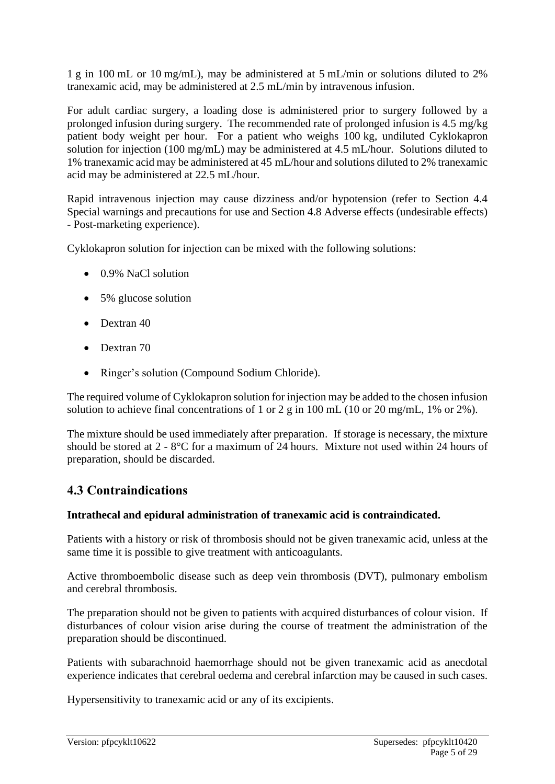1 g in 100 mL or 10 mg/mL), may be administered at 5 mL/min or solutions diluted to 2% tranexamic acid, may be administered at 2.5 mL/min by intravenous infusion.

For adult cardiac surgery, a loading dose is administered prior to surgery followed by a prolonged infusion during surgery. The recommended rate of prolonged infusion is 4.5 mg/kg patient body weight per hour. For a patient who weighs 100 kg, undiluted Cyklokapron solution for injection (100 mg/mL) may be administered at 4.5 mL/hour. Solutions diluted to 1% tranexamic acid may be administered at 45 mL/hour and solutions diluted to 2% tranexamic acid may be administered at 22.5 mL/hour.

Rapid intravenous injection may cause dizziness and/or hypotension (refer to Section 4.4 Special warnings and precautions for use and Section 4.8 Adverse effects (undesirable effects) - Post-marketing experience).

Cyklokapron solution for injection can be mixed with the following solutions:

- 0.9% NaCl solution
- 5% glucose solution
- Dextran 40
- Dextran 70
- Ringer's solution (Compound Sodium Chloride).

The required volume of Cyklokapron solution for injection may be added to the chosen infusion solution to achieve final concentrations of 1 or 2 g in 100 mL (10 or 20 mg/mL, 1% or 2%).

The mixture should be used immediately after preparation. If storage is necessary, the mixture should be stored at 2 - 8°C for a maximum of 24 hours. Mixture not used within 24 hours of preparation, should be discarded.

# **4.3 Contraindications**

### **Intrathecal and epidural administration of tranexamic acid is contraindicated.**

Patients with a history or risk of thrombosis should not be given tranexamic acid, unless at the same time it is possible to give treatment with anticoagulants.

Active thromboembolic disease such as deep vein thrombosis (DVT), pulmonary embolism and cerebral thrombosis.

The preparation should not be given to patients with acquired disturbances of colour vision. If disturbances of colour vision arise during the course of treatment the administration of the preparation should be discontinued.

Patients with subarachnoid haemorrhage should not be given tranexamic acid as anecdotal experience indicates that cerebral oedema and cerebral infarction may be caused in such cases.

Hypersensitivity to tranexamic acid or any of its excipients.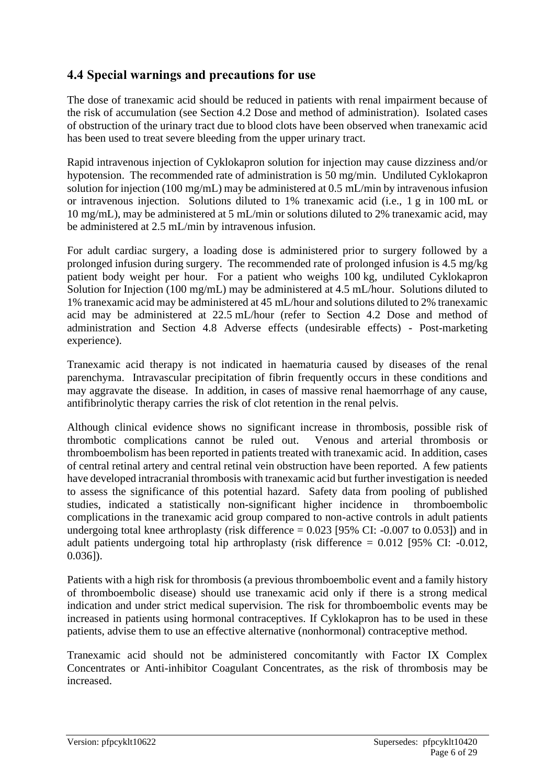# **4.4 Special warnings and precautions for use**

The dose of tranexamic acid should be reduced in patients with renal impairment because of the risk of accumulation (see Section 4.2 Dose and method of administration). Isolated cases of obstruction of the urinary tract due to blood clots have been observed when tranexamic acid has been used to treat severe bleeding from the upper urinary tract.

Rapid intravenous injection of Cyklokapron solution for injection may cause dizziness and/or hypotension. The recommended rate of administration is 50 mg/min. Undiluted Cyklokapron solution for injection (100 mg/mL) may be administered at 0.5 mL/min by intravenous infusion or intravenous injection. Solutions diluted to 1% tranexamic acid (i.e., 1 g in 100 mL or 10 mg/mL), may be administered at 5 mL/min or solutions diluted to 2% tranexamic acid, may be administered at 2.5 mL/min by intravenous infusion.

For adult cardiac surgery, a loading dose is administered prior to surgery followed by a prolonged infusion during surgery. The recommended rate of prolonged infusion is 4.5 mg/kg patient body weight per hour. For a patient who weighs 100 kg, undiluted Cyklokapron Solution for Injection (100 mg/mL) may be administered at 4.5 mL/hour. Solutions diluted to 1% tranexamic acid may be administered at 45 mL/hour and solutions diluted to 2% tranexamic acid may be administered at 22.5 mL/hour (refer to Section 4.2 Dose and method of administration and Section 4.8 Adverse effects (undesirable effects) - Post-marketing experience).

Tranexamic acid therapy is not indicated in haematuria caused by diseases of the renal parenchyma. Intravascular precipitation of fibrin frequently occurs in these conditions and may aggravate the disease. In addition, in cases of massive renal haemorrhage of any cause, antifibrinolytic therapy carries the risk of clot retention in the renal pelvis.

Although clinical evidence shows no significant increase in thrombosis, possible risk of thrombotic complications cannot be ruled out. Venous and arterial thrombosis or thromboembolism has been reported in patients treated with tranexamic acid. In addition, cases of central retinal artery and central retinal vein obstruction have been reported. A few patients have developed intracranial thrombosis with tranexamic acid but further investigation is needed to assess the significance of this potential hazard. Safety data from pooling of published studies, indicated a statistically non-significant higher incidence in thromboembolic complications in the tranexamic acid group compared to non-active controls in adult patients undergoing total knee arthroplasty (risk difference  $= 0.023$  [95% CI: -0.007 to 0.053]) and in adult patients undergoing total hip arthroplasty (risk difference  $= 0.012$  [95% CI: -0.012, 0.036]).

Patients with a high risk for thrombosis (a previous thromboembolic event and a family history of thromboembolic disease) should use tranexamic acid only if there is a strong medical indication and under strict medical supervision. The risk for thromboembolic events may be increased in patients using hormonal contraceptives. If Cyklokapron has to be used in these patients, advise them to use an effective alternative (nonhormonal) contraceptive method.

Tranexamic acid should not be administered concomitantly with Factor IX Complex Concentrates or Anti-inhibitor Coagulant Concentrates, as the risk of thrombosis may be increased.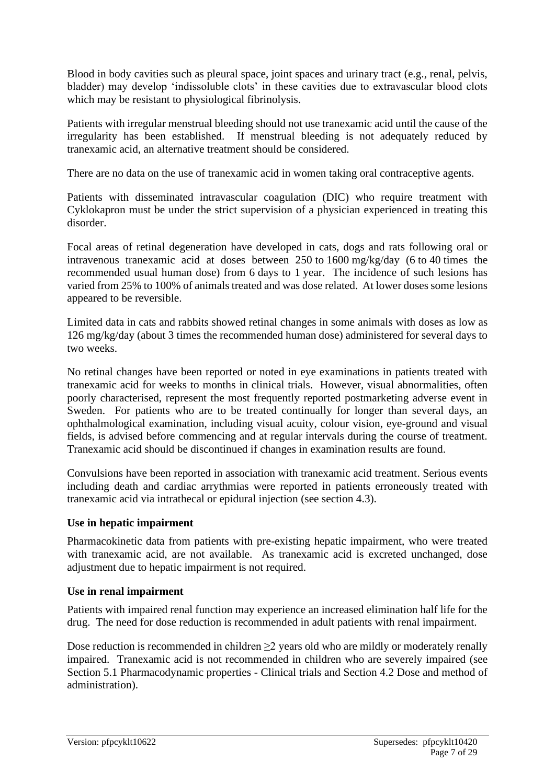Blood in body cavities such as pleural space, joint spaces and urinary tract (e.g., renal, pelvis, bladder) may develop 'indissoluble clots' in these cavities due to extravascular blood clots which may be resistant to physiological fibrinolysis.

Patients with irregular menstrual bleeding should not use tranexamic acid until the cause of the irregularity has been established. If menstrual bleeding is not adequately reduced by tranexamic acid, an alternative treatment should be considered.

There are no data on the use of tranexamic acid in women taking oral contraceptive agents.

Patients with disseminated intravascular coagulation (DIC) who require treatment with Cyklokapron must be under the strict supervision of a physician experienced in treating this disorder.

Focal areas of retinal degeneration have developed in cats, dogs and rats following oral or intravenous tranexamic acid at doses between 250 to 1600 mg/kg/day (6 to 40 times the recommended usual human dose) from 6 days to 1 year. The incidence of such lesions has varied from 25% to 100% of animals treated and was dose related. At lower doses some lesions appeared to be reversible.

Limited data in cats and rabbits showed retinal changes in some animals with doses as low as 126 mg/kg/day (about 3 times the recommended human dose) administered for several days to two weeks.

No retinal changes have been reported or noted in eye examinations in patients treated with tranexamic acid for weeks to months in clinical trials. However, visual abnormalities, often poorly characterised, represent the most frequently reported postmarketing adverse event in Sweden. For patients who are to be treated continually for longer than several days, an ophthalmological examination, including visual acuity, colour vision, eye-ground and visual fields, is advised before commencing and at regular intervals during the course of treatment. Tranexamic acid should be discontinued if changes in examination results are found.

Convulsions have been reported in association with tranexamic acid treatment. Serious events including death and cardiac arrythmias were reported in patients erroneously treated with tranexamic acid via intrathecal or epidural injection (see section 4.3).

#### **Use in hepatic impairment**

Pharmacokinetic data from patients with pre-existing hepatic impairment, who were treated with tranexamic acid, are not available. As tranexamic acid is excreted unchanged, dose adjustment due to hepatic impairment is not required.

#### **Use in renal impairment**

Patients with impaired renal function may experience an increased elimination half life for the drug. The need for dose reduction is recommended in adult patients with renal impairment.

Dose reduction is recommended in children  $\geq$  years old who are mildly or moderately renally impaired. Tranexamic acid is not recommended in children who are severely impaired (see Section 5.1 Pharmacodynamic properties - Clinical trials and Section 4.2 Dose and method of administration).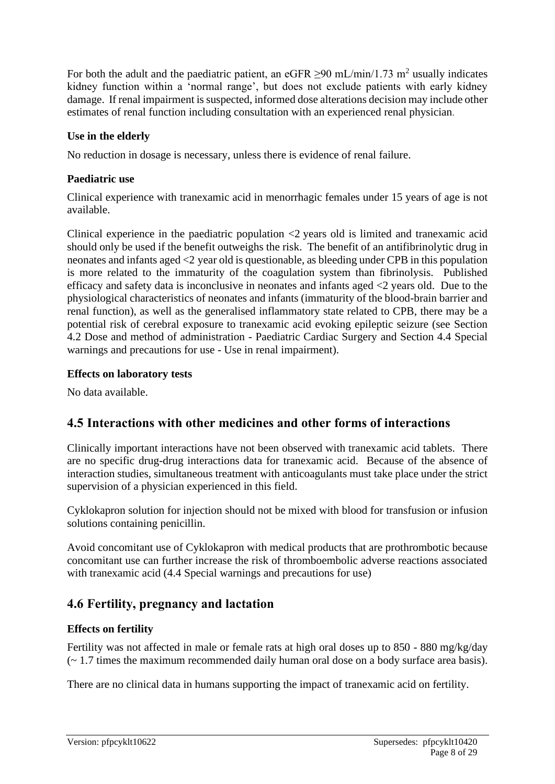For both the adult and the paediatric patient, an eGFR  $\geq$ 90 mL/min/1.73 m<sup>2</sup> usually indicates kidney function within a 'normal range', but does not exclude patients with early kidney damage. If renal impairment is suspected, informed dose alterations decision may include other estimates of renal function including consultation with an experienced renal physician.

#### **Use in the elderly**

No reduction in dosage is necessary, unless there is evidence of renal failure.

#### **Paediatric use**

Clinical experience with tranexamic acid in menorrhagic females under 15 years of age is not available.

Clinical experience in the paediatric population <2 years old is limited and tranexamic acid should only be used if the benefit outweighs the risk. The benefit of an antifibrinolytic drug in neonates and infants aged <2 year old is questionable, as bleeding under CPB in this population is more related to the immaturity of the coagulation system than fibrinolysis. Published efficacy and safety data is inconclusive in neonates and infants aged <2 years old. Due to the physiological characteristics of neonates and infants (immaturity of the blood-brain barrier and renal function), as well as the generalised inflammatory state related to CPB, there may be a potential risk of cerebral exposure to tranexamic acid evoking epileptic seizure (see Section 4.2 Dose and method of administration - Paediatric Cardiac Surgery and Section 4.4 Special warnings and precautions for use - Use in renal impairment).

#### **Effects on laboratory tests**

No data available.

# **4.5 Interactions with other medicines and other forms of interactions**

Clinically important interactions have not been observed with tranexamic acid tablets. There are no specific drug-drug interactions data for tranexamic acid. Because of the absence of interaction studies, simultaneous treatment with anticoagulants must take place under the strict supervision of a physician experienced in this field.

Cyklokapron solution for injection should not be mixed with blood for transfusion or infusion solutions containing penicillin.

Avoid concomitant use of Cyklokapron with medical products that are prothrombotic because concomitant use can further increase the risk of thromboembolic adverse reactions associated with tranexamic acid (4.4 Special warnings and precautions for use)

# **4.6 Fertility, pregnancy and lactation**

### **Effects on fertility**

Fertility was not affected in male or female rats at high oral doses up to 850 - 880 mg/kg/day (~ 1.7 times the maximum recommended daily human oral dose on a body surface area basis).

There are no clinical data in humans supporting the impact of tranexamic acid on fertility.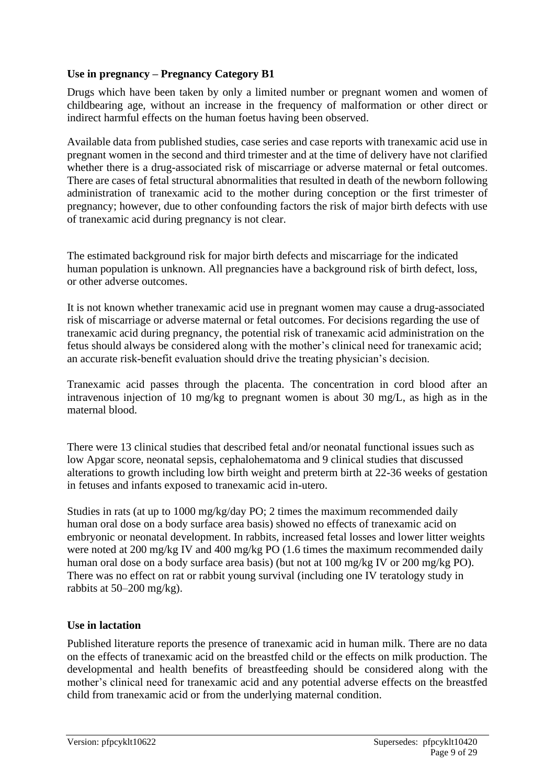#### **Use in pregnancy – Pregnancy Category B1**

Drugs which have been taken by only a limited number or pregnant women and women of childbearing age, without an increase in the frequency of malformation or other direct or indirect harmful effects on the human foetus having been observed.

Available data from published studies, case series and case reports with tranexamic acid use in pregnant women in the second and third trimester and at the time of delivery have not clarified whether there is a drug-associated risk of miscarriage or adverse maternal or fetal outcomes. There are cases of fetal structural abnormalities that resulted in death of the newborn following administration of tranexamic acid to the mother during conception or the first trimester of pregnancy; however, due to other confounding factors the risk of major birth defects with use of tranexamic acid during pregnancy is not clear.

The estimated background risk for major birth defects and miscarriage for the indicated human population is unknown. All pregnancies have a background risk of birth defect, loss, or other adverse outcomes.

It is not known whether tranexamic acid use in pregnant women may cause a drug-associated risk of miscarriage or adverse maternal or fetal outcomes. For decisions regarding the use of tranexamic acid during pregnancy, the potential risk of tranexamic acid administration on the fetus should always be considered along with the mother's clinical need for tranexamic acid; an accurate risk-benefit evaluation should drive the treating physician's decision.

Tranexamic acid passes through the placenta. The concentration in cord blood after an intravenous injection of 10 mg/kg to pregnant women is about 30 mg/L, as high as in the maternal blood.

There were 13 clinical studies that described fetal and/or neonatal functional issues such as low Apgar score, neonatal sepsis, cephalohematoma and 9 clinical studies that discussed alterations to growth including low birth weight and preterm birth at 22-36 weeks of gestation in fetuses and infants exposed to tranexamic acid in-utero.

Studies in rats (at up to 1000 mg/kg/day PO; 2 times the maximum recommended daily human oral dose on a body surface area basis) showed no effects of tranexamic acid on embryonic or neonatal development. In rabbits, increased fetal losses and lower litter weights were noted at 200 mg/kg IV and 400 mg/kg PO (1.6 times the maximum recommended daily human oral dose on a body surface area basis) (but not at 100 mg/kg IV or 200 mg/kg PO). There was no effect on rat or rabbit young survival (including one IV teratology study in rabbits at 50–200 mg/kg).

#### **Use in lactation**

Published literature reports the presence of tranexamic acid in human milk. There are no data on the effects of tranexamic acid on the breastfed child or the effects on milk production. The developmental and health benefits of breastfeeding should be considered along with the mother's clinical need for tranexamic acid and any potential adverse effects on the breastfed child from tranexamic acid or from the underlying maternal condition.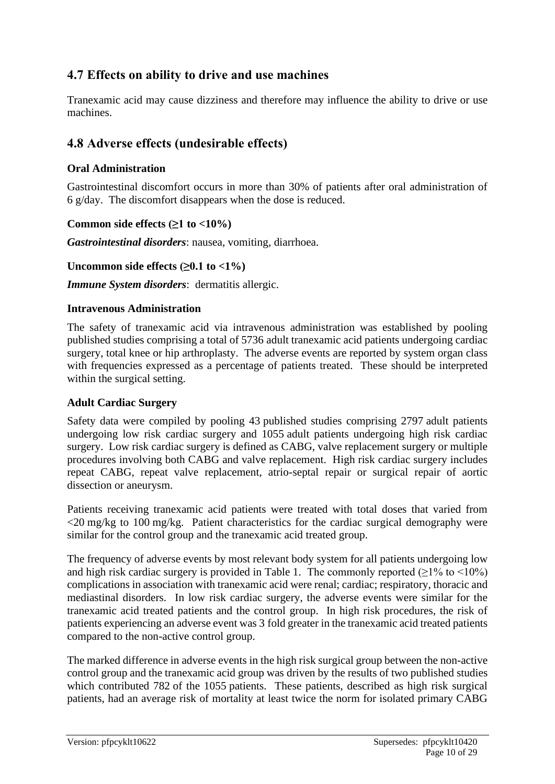# **4.7 Effects on ability to drive and use machines**

Tranexamic acid may cause dizziness and therefore may influence the ability to drive or use machines.

# **4.8 Adverse effects (undesirable effects)**

### **Oral Administration**

Gastrointestinal discomfort occurs in more than 30% of patients after oral administration of 6 g/day. The discomfort disappears when the dose is reduced.

#### **Common side effects**  $(≥1$  **<b>to**  $<10\%)$

*Gastrointestinal disorders*: nausea, vomiting, diarrhoea.

#### Uncommon side effects  $(≥0.1$  to  $<1%$ )

*Immune System disorders*: dermatitis allergic.

#### **Intravenous Administration**

The safety of tranexamic acid via intravenous administration was established by pooling published studies comprising a total of 5736 adult tranexamic acid patients undergoing cardiac surgery, total knee or hip arthroplasty. The adverse events are reported by system organ class with frequencies expressed as a percentage of patients treated. These should be interpreted within the surgical setting.

#### **Adult Cardiac Surgery**

Safety data were compiled by pooling 43 published studies comprising 2797 adult patients undergoing low risk cardiac surgery and 1055 adult patients undergoing high risk cardiac surgery. Low risk cardiac surgery is defined as CABG, valve replacement surgery or multiple procedures involving both CABG and valve replacement. High risk cardiac surgery includes repeat CABG, repeat valve replacement, atrio-septal repair or surgical repair of aortic dissection or aneurysm.

Patients receiving tranexamic acid patients were treated with total doses that varied from <20 mg/kg to 100 mg/kg. Patient characteristics for the cardiac surgical demography were similar for the control group and the tranexamic acid treated group.

The frequency of adverse events by most relevant body system for all patients undergoing low and high risk cardiac surgery is provided in Table 1. The commonly reported  $(\geq 1\%$  to  $\leq 10\%)$ complications in association with tranexamic acid were renal; cardiac; respiratory, thoracic and mediastinal disorders. In low risk cardiac surgery, the adverse events were similar for the tranexamic acid treated patients and the control group. In high risk procedures, the risk of patients experiencing an adverse event was 3 fold greater in the tranexamic acid treated patients compared to the non-active control group.

The marked difference in adverse events in the high risk surgical group between the non-active control group and the tranexamic acid group was driven by the results of two published studies which contributed 782 of the 1055 patients. These patients, described as high risk surgical patients, had an average risk of mortality at least twice the norm for isolated primary CABG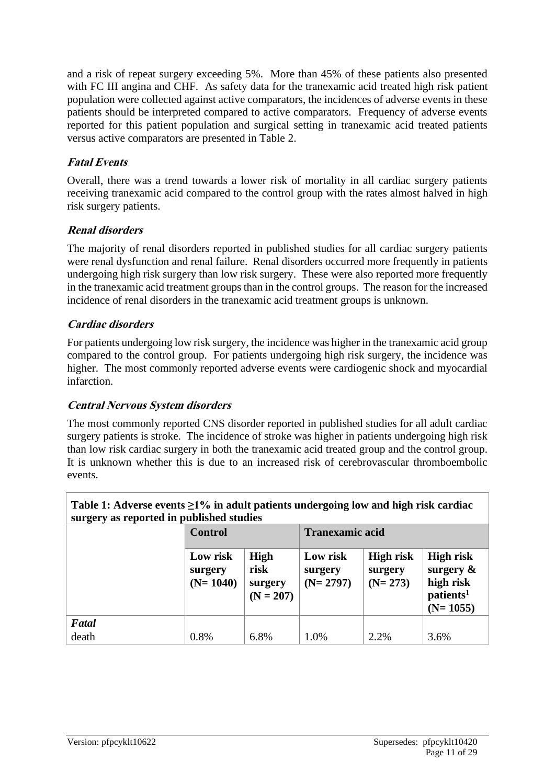and a risk of repeat surgery exceeding 5%. More than 45% of these patients also presented with FC III angina and CHF. As safety data for the tranexamic acid treated high risk patient population were collected against active comparators, the incidences of adverse events in these patients should be interpreted compared to active comparators. Frequency of adverse events reported for this patient population and surgical setting in tranexamic acid treated patients versus active comparators are presented in Table 2.

### **Fatal Events**

Overall, there was a trend towards a lower risk of mortality in all cardiac surgery patients receiving tranexamic acid compared to the control group with the rates almost halved in high risk surgery patients.

# **Renal disorders**

The majority of renal disorders reported in published studies for all cardiac surgery patients were renal dysfunction and renal failure. Renal disorders occurred more frequently in patients undergoing high risk surgery than low risk surgery. These were also reported more frequently in the tranexamic acid treatment groups than in the control groups. The reason for the increased incidence of renal disorders in the tranexamic acid treatment groups is unknown.

# **Cardiac disorders**

For patients undergoing low risk surgery, the incidence was higher in the tranexamic acid group compared to the control group. For patients undergoing high risk surgery, the incidence was higher. The most commonly reported adverse events were cardiogenic shock and myocardial infarction.

### **Central Nervous System disorders**

The most commonly reported CNS disorder reported in published studies for all adult cardiac surgery patients is stroke. The incidence of stroke was higher in patients undergoing high risk than low risk cardiac surgery in both the tranexamic acid treated group and the control group. It is unknown whether this is due to an increased risk of cerebrovascular thromboembolic events.

| Table 1: Adverse events $\geq$ 1% in adult patients undergoing low and high risk cardiac |                     |                 |  |  |  |
|------------------------------------------------------------------------------------------|---------------------|-----------------|--|--|--|
| surgery as reported in published studies                                                 |                     |                 |  |  |  |
|                                                                                          | $C_{\alpha}$ $\sim$ | Tronovania said |  |  |  |

|       | <b>Control</b>                    |                                        | <b>Tranexamic acid</b>            |                                          |                                                                                      |  |
|-------|-----------------------------------|----------------------------------------|-----------------------------------|------------------------------------------|--------------------------------------------------------------------------------------|--|
|       | Low risk<br>surgery<br>$(N=1040)$ | High<br>risk<br>surgery<br>$(N = 207)$ | Low risk<br>surgery<br>$(N=2797)$ | <b>High risk</b><br>surgery<br>$(N=273)$ | <b>High risk</b><br>surgery $\&$<br>high risk<br>patients <sup>1</sup><br>$(N=1055)$ |  |
| Fatal |                                   |                                        |                                   |                                          |                                                                                      |  |
| death | 0.8%                              | 6.8%                                   | 1.0%                              | 2.2%                                     | 3.6%                                                                                 |  |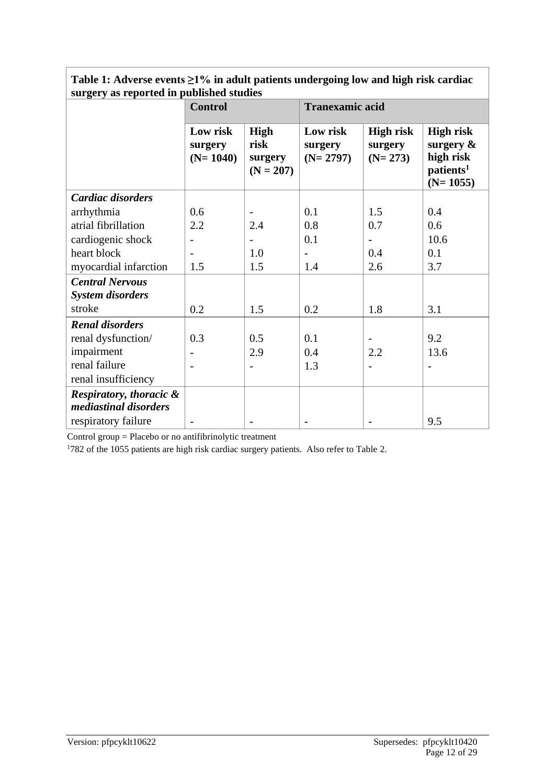| surgery as reported in published studies                    |                                   |                                               |                                   |                                   |                                                                                      |
|-------------------------------------------------------------|-----------------------------------|-----------------------------------------------|-----------------------------------|-----------------------------------|--------------------------------------------------------------------------------------|
|                                                             | <b>Control</b>                    |                                               | <b>Tranexamic acid</b>            |                                   |                                                                                      |
|                                                             | Low risk<br>surgery<br>$(N=1040)$ | <b>High</b><br>risk<br>surgery<br>$(N = 207)$ | Low risk<br>surgery<br>$(N=2797)$ | High risk<br>surgery<br>$(N=273)$ | <b>High risk</b><br>surgery $\&$<br>high risk<br>patients <sup>1</sup><br>$(N=1055)$ |
| Cardiac disorders                                           |                                   |                                               |                                   |                                   |                                                                                      |
| arrhythmia                                                  | 0.6                               |                                               | 0.1                               | 1.5                               | 0.4                                                                                  |
| atrial fibrillation                                         | 2.2                               | 2.4                                           | 0.8                               | 0.7                               | 0.6                                                                                  |
| cardiogenic shock                                           | $\overline{\phantom{a}}$          |                                               | 0.1                               |                                   | 10.6                                                                                 |
| heart block                                                 |                                   | 1.0                                           | $\overline{\phantom{0}}$          | 0.4                               | 0.1                                                                                  |
| myocardial infarction                                       | 1.5                               | 1.5                                           | 1.4                               | 2.6                               | 3.7                                                                                  |
| <b>Central Nervous</b><br><b>System disorders</b>           |                                   |                                               |                                   |                                   |                                                                                      |
| stroke                                                      | 0.2                               | 1.5                                           | 0.2                               | 1.8                               | 3.1                                                                                  |
| <b>Renal disorders</b>                                      |                                   |                                               |                                   |                                   |                                                                                      |
| renal dysfunction/                                          | 0.3                               | 0.5                                           | 0.1                               |                                   | 9.2                                                                                  |
| impairment                                                  |                                   | 2.9                                           | 0.4                               | 2.2                               | 13.6                                                                                 |
| renal failure                                               |                                   |                                               | 1.3                               |                                   |                                                                                      |
| renal insufficiency                                         |                                   |                                               |                                   |                                   |                                                                                      |
| <b>Respiratory, thoracic &amp;</b><br>mediastinal disorders |                                   |                                               |                                   |                                   |                                                                                      |
| respiratory failure                                         |                                   |                                               |                                   |                                   | 9.5                                                                                  |

### **Table 1: Adverse events ≥1% in adult patients undergoing low and high risk cardiac surgery as reported in published studies**

Control group = Placebo or no antifibrinolytic treatment

1782 of the 1055 patients are high risk cardiac surgery patients. Also refer to Table 2.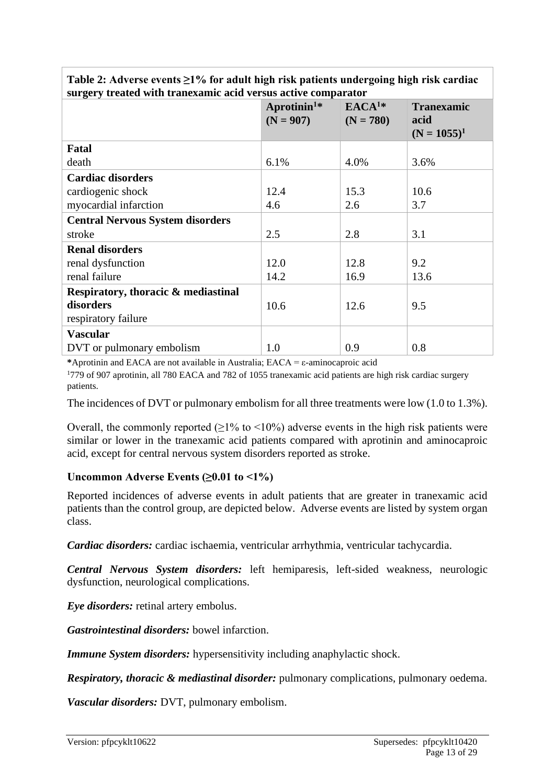| surgery in earcu with it ancaaning acid versus active comparator |                                        |                                  |                           |
|------------------------------------------------------------------|----------------------------------------|----------------------------------|---------------------------|
|                                                                  | Aprotinin <sup>1*</sup><br>$(N = 907)$ | EACA <sup>1</sup><br>$(N = 780)$ | <b>Tranexamic</b><br>acid |
|                                                                  |                                        |                                  | $(N = 1055)^1$            |
| Fatal                                                            |                                        |                                  |                           |
| death                                                            | 6.1%                                   | 4.0%                             | 3.6%                      |
| <b>Cardiac disorders</b>                                         |                                        |                                  |                           |
| cardiogenic shock                                                | 12.4                                   | 15.3                             | 10.6                      |
| myocardial infarction                                            | 4.6                                    | 2.6                              | 3.7                       |
| <b>Central Nervous System disorders</b>                          |                                        |                                  |                           |
| stroke                                                           | 2.5                                    | 2.8                              | 3.1                       |
| <b>Renal disorders</b>                                           |                                        |                                  |                           |
| renal dysfunction                                                | 12.0                                   | 12.8                             | 9.2                       |
| renal failure                                                    | 14.2                                   | 16.9                             | 13.6                      |
| Respiratory, thoracic & mediastinal                              |                                        |                                  |                           |
| disorders                                                        | 10.6                                   | 12.6                             | 9.5                       |
| respiratory failure                                              |                                        |                                  |                           |
| <b>Vascular</b>                                                  |                                        |                                  |                           |
| DVT or pulmonary embolism                                        | 1.0                                    | 0.9                              | 0.8                       |

**Table 2: Adverse events ≥1% for adult high risk patients undergoing high risk cardiac surgery treated with tranexamic acid versus active comparator**

**\***Aprotinin and EACA are not available in Australia; EACA = ε-aminocaproic acid

<sup>1</sup>779 of 907 aprotinin, all 780 EACA and 782 of 1055 tranexamic acid patients are high risk cardiac surgery patients.

The incidences of DVT or pulmonary embolism for all three treatments were low (1.0 to 1.3%).

Overall, the commonly reported  $(\geq 1\%$  to  $\leq 10\%)$  adverse events in the high risk patients were similar or lower in the tranexamic acid patients compared with aprotinin and aminocaproic acid, except for central nervous system disorders reported as stroke.

#### **Uncommon Adverse Events (≥0.01 to <1%)**

Reported incidences of adverse events in adult patients that are greater in tranexamic acid patients than the control group, are depicted below. Adverse events are listed by system organ class.

*Cardiac disorders:* cardiac ischaemia, ventricular arrhythmia, ventricular tachycardia.

*Central Nervous System disorders:* left hemiparesis, left-sided weakness, neurologic dysfunction, neurological complications.

*Eye disorders:* retinal artery embolus.

*Gastrointestinal disorders:* bowel infarction.

*Immune System disorders:* hypersensitivity including anaphylactic shock.

*Respiratory, thoracic & mediastinal disorder:* pulmonary complications, pulmonary oedema.

*Vascular disorders:* DVT, pulmonary embolism.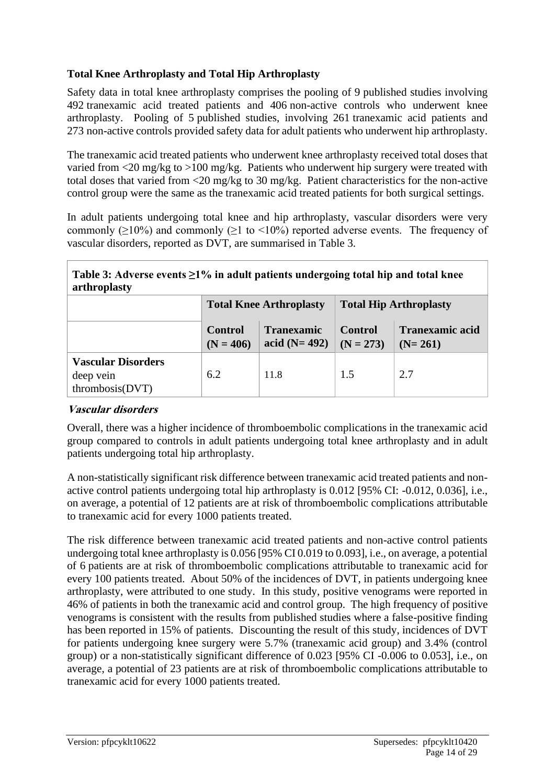# **Total Knee Arthroplasty and Total Hip Arthroplasty**

Safety data in total knee arthroplasty comprises the pooling of 9 published studies involving 492 tranexamic acid treated patients and 406 non-active controls who underwent knee arthroplasty. Pooling of 5 published studies, involving 261 tranexamic acid patients and 273 non-active controls provided safety data for adult patients who underwent hip arthroplasty.

The tranexamic acid treated patients who underwent knee arthroplasty received total doses that varied from <20 mg/kg to >100 mg/kg. Patients who underwent hip surgery were treated with total doses that varied from <20 mg/kg to 30 mg/kg. Patient characteristics for the non-active control group were the same as the tranexamic acid treated patients for both surgical settings.

In adult patients undergoing total knee and hip arthroplasty, vascular disorders were very commonly ( $\geq$ 10%) and commonly ( $\geq$ 1 to <10%) reported adverse events. The frequency of vascular disorders, reported as DVT, are summarised in Table 3.

#### **Table 3: Adverse events ≥1% in adult patients undergoing total hip and total knee arthroplasty**

|                                                           | <b>Total Knee Arthroplasty</b>                                       |      | <b>Total Hip Arthroplasty</b>       |                                     |  |
|-----------------------------------------------------------|----------------------------------------------------------------------|------|-------------------------------------|-------------------------------------|--|
|                                                           | <b>Tranexamic</b><br><b>Control</b><br>acid $(N=492)$<br>$(N = 406)$ |      | <b>Control</b><br>$\vert$ (N = 273) | <b>Tranexamic acid</b><br>$(N=261)$ |  |
| <b>Vascular Disorders</b><br>deep vein<br>thrombosis(DVT) | 6.2                                                                  | 11.8 | 1.5                                 | 2.7                                 |  |

### **Vascular disorders**

Overall, there was a higher incidence of thromboembolic complications in the tranexamic acid group compared to controls in adult patients undergoing total knee arthroplasty and in adult patients undergoing total hip arthroplasty.

A non-statistically significant risk difference between tranexamic acid treated patients and nonactive control patients undergoing total hip arthroplasty is 0.012 [95% CI: -0.012, 0.036], i.e., on average, a potential of 12 patients are at risk of thromboembolic complications attributable to tranexamic acid for every 1000 patients treated.

The risk difference between tranexamic acid treated patients and non-active control patients undergoing total knee arthroplasty is 0.056 [95% CI 0.019 to 0.093], i.e., on average, a potential of 6 patients are at risk of thromboembolic complications attributable to tranexamic acid for every 100 patients treated. About 50% of the incidences of DVT, in patients undergoing knee arthroplasty, were attributed to one study. In this study, positive venograms were reported in 46% of patients in both the tranexamic acid and control group. The high frequency of positive venograms is consistent with the results from published studies where a false-positive finding has been reported in 15% of patients. Discounting the result of this study, incidences of DVT for patients undergoing knee surgery were 5.7% (tranexamic acid group) and 3.4% (control group) or a non-statistically significant difference of 0.023 [95% CI -0.006 to 0.053], i.e., on average, a potential of 23 patients are at risk of thromboembolic complications attributable to tranexamic acid for every 1000 patients treated.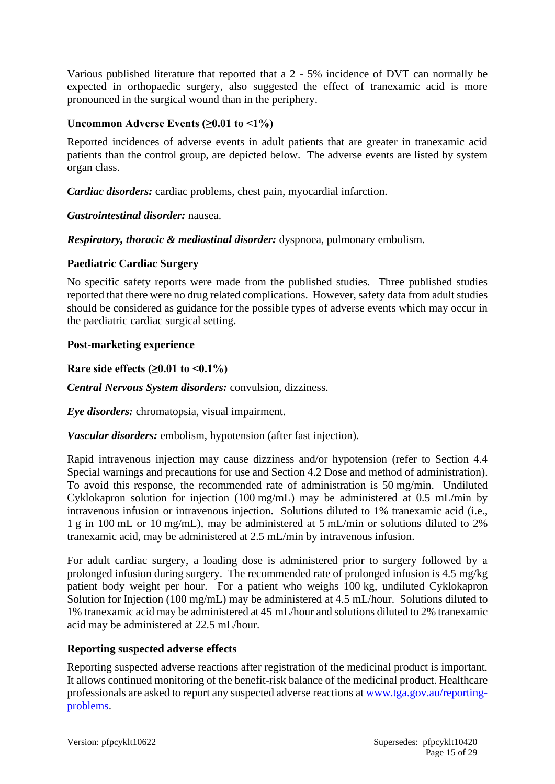Various published literature that reported that a 2 - 5% incidence of DVT can normally be expected in orthopaedic surgery, also suggested the effect of tranexamic acid is more pronounced in the surgical wound than in the periphery.

#### **Uncommon Adverse Events (≥0.01 to <1%)**

Reported incidences of adverse events in adult patients that are greater in tranexamic acid patients than the control group, are depicted below. The adverse events are listed by system organ class.

*Cardiac disorders:* cardiac problems, chest pain, myocardial infarction.

#### *Gastrointestinal disorder:* nausea.

*Respiratory, thoracic & mediastinal disorder:* dyspnoea, pulmonary embolism.

#### **Paediatric Cardiac Surgery**

No specific safety reports were made from the published studies. Three published studies reported that there were no drug related complications. However, safety data from adult studies should be considered as guidance for the possible types of adverse events which may occur in the paediatric cardiac surgical setting.

#### **Post-marketing experience**

#### **Rare side effects (≥0.01 to <0.1%)**

*Central Nervous System disorders:* convulsion, dizziness.

*Eye disorders:* chromatopsia, visual impairment.

*Vascular disorders:* embolism, hypotension (after fast injection).

Rapid intravenous injection may cause dizziness and/or hypotension (refer to Section 4.4 Special warnings and precautions for use and Section 4.2 Dose and method of administration). To avoid this response, the recommended rate of administration is 50 mg/min. Undiluted Cyklokapron solution for injection (100 mg/mL) may be administered at 0.5 mL/min by intravenous infusion or intravenous injection. Solutions diluted to 1% tranexamic acid (i.e., 1 g in 100 mL or 10 mg/mL), may be administered at 5 mL/min or solutions diluted to 2% tranexamic acid, may be administered at 2.5 mL/min by intravenous infusion.

For adult cardiac surgery, a loading dose is administered prior to surgery followed by a prolonged infusion during surgery. The recommended rate of prolonged infusion is 4.5 mg/kg patient body weight per hour. For a patient who weighs 100 kg, undiluted Cyklokapron Solution for Injection (100 mg/mL) may be administered at 4.5 mL/hour. Solutions diluted to 1% tranexamic acid may be administered at 45 mL/hour and solutions diluted to 2% tranexamic acid may be administered at 22.5 mL/hour.

#### **Reporting suspected adverse effects**

Reporting suspected adverse reactions after registration of the medicinal product is important. It allows continued monitoring of the benefit-risk balance of the medicinal product. Healthcare professionals are asked to report any suspected adverse reactions at [www.tga.gov.au/reporting](http://www.tga.gov.au/reporting-problems)[problems.](http://www.tga.gov.au/reporting-problems)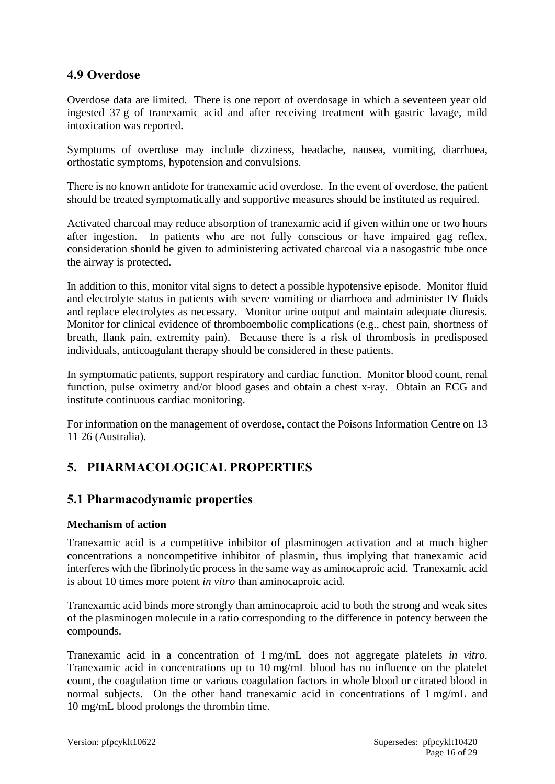# **4.9 Overdose**

Overdose data are limited. There is one report of overdosage in which a seventeen year old ingested 37 g of tranexamic acid and after receiving treatment with gastric lavage, mild intoxication was reported**.**

Symptoms of overdose may include dizziness, headache, nausea, vomiting, diarrhoea, orthostatic symptoms, hypotension and convulsions.

There is no known antidote for tranexamic acid overdose. In the event of overdose, the patient should be treated symptomatically and supportive measures should be instituted as required.

Activated charcoal may reduce absorption of tranexamic acid if given within one or two hours after ingestion. In patients who are not fully conscious or have impaired gag reflex, consideration should be given to administering activated charcoal via a nasogastric tube once the airway is protected.

In addition to this, monitor vital signs to detect a possible hypotensive episode. Monitor fluid and electrolyte status in patients with severe vomiting or diarrhoea and administer IV fluids and replace electrolytes as necessary. Monitor urine output and maintain adequate diuresis. Monitor for clinical evidence of thromboembolic complications (e.g., chest pain, shortness of breath, flank pain, extremity pain). Because there is a risk of thrombosis in predisposed individuals, anticoagulant therapy should be considered in these patients.

In symptomatic patients, support respiratory and cardiac function. Monitor blood count, renal function, pulse oximetry and/or blood gases and obtain a chest x-ray. Obtain an ECG and institute continuous cardiac monitoring.

For information on the management of overdose, contact the Poisons Information Centre on 13 11 26 (Australia).

# **5. PHARMACOLOGICAL PROPERTIES**

# **5.1 Pharmacodynamic properties**

### **Mechanism of action**

Tranexamic acid is a competitive inhibitor of plasminogen activation and at much higher concentrations a noncompetitive inhibitor of plasmin, thus implying that tranexamic acid interferes with the fibrinolytic process in the same way as aminocaproic acid. Tranexamic acid is about 10 times more potent *in vitro* than aminocaproic acid.

Tranexamic acid binds more strongly than aminocaproic acid to both the strong and weak sites of the plasminogen molecule in a ratio corresponding to the difference in potency between the compounds.

Tranexamic acid in a concentration of 1 mg/mL does not aggregate platelets *in vitro.* Tranexamic acid in concentrations up to 10 mg/mL blood has no influence on the platelet count, the coagulation time or various coagulation factors in whole blood or citrated blood in normal subjects. On the other hand tranexamic acid in concentrations of 1 mg/mL and 10 mg/mL blood prolongs the thrombin time.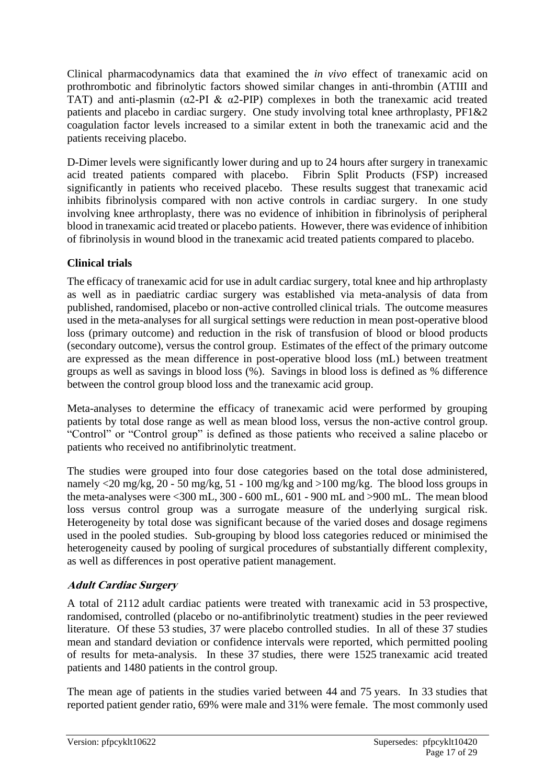Clinical pharmacodynamics data that examined the *in vivo* effect of tranexamic acid on prothrombotic and fibrinolytic factors showed similar changes in anti-thrombin (ATIII and TAT) and anti-plasmin ( $\alpha$ 2-PI &  $\alpha$ 2-PIP) complexes in both the tranexamic acid treated patients and placebo in cardiac surgery. One study involving total knee arthroplasty, PF1&2 coagulation factor levels increased to a similar extent in both the tranexamic acid and the patients receiving placebo.

D-Dimer levels were significantly lower during and up to 24 hours after surgery in tranexamic acid treated patients compared with placebo. Fibrin Split Products (FSP) increased significantly in patients who received placebo. These results suggest that tranexamic acid inhibits fibrinolysis compared with non active controls in cardiac surgery. In one study involving knee arthroplasty, there was no evidence of inhibition in fibrinolysis of peripheral blood in tranexamic acid treated or placebo patients. However, there was evidence of inhibition of fibrinolysis in wound blood in the tranexamic acid treated patients compared to placebo.

# **Clinical trials**

The efficacy of tranexamic acid for use in adult cardiac surgery, total knee and hip arthroplasty as well as in paediatric cardiac surgery was established via meta-analysis of data from published, randomised, placebo or non-active controlled clinical trials. The outcome measures used in the meta-analyses for all surgical settings were reduction in mean post-operative blood loss (primary outcome) and reduction in the risk of transfusion of blood or blood products (secondary outcome), versus the control group. Estimates of the effect of the primary outcome are expressed as the mean difference in post-operative blood loss (mL) between treatment groups as well as savings in blood loss (%). Savings in blood loss is defined as % difference between the control group blood loss and the tranexamic acid group.

Meta-analyses to determine the efficacy of tranexamic acid were performed by grouping patients by total dose range as well as mean blood loss, versus the non-active control group. "Control" or "Control group" is defined as those patients who received a saline placebo or patients who received no antifibrinolytic treatment.

The studies were grouped into four dose categories based on the total dose administered, namely <20 mg/kg, 20 - 50 mg/kg, 51 - 100 mg/kg and >100 mg/kg. The blood loss groups in the meta-analyses were <300 mL, 300 - 600 mL, 601 - 900 mL and >900 mL. The mean blood loss versus control group was a surrogate measure of the underlying surgical risk. Heterogeneity by total dose was significant because of the varied doses and dosage regimens used in the pooled studies. Sub-grouping by blood loss categories reduced or minimised the heterogeneity caused by pooling of surgical procedures of substantially different complexity, as well as differences in post operative patient management.

# **Adult Cardiac Surgery**

A total of 2112 adult cardiac patients were treated with tranexamic acid in 53 prospective, randomised, controlled (placebo or no-antifibrinolytic treatment) studies in the peer reviewed literature. Of these 53 studies, 37 were placebo controlled studies. In all of these 37 studies mean and standard deviation or confidence intervals were reported, which permitted pooling of results for meta-analysis. In these 37 studies, there were 1525 tranexamic acid treated patients and 1480 patients in the control group.

The mean age of patients in the studies varied between 44 and 75 years. In 33 studies that reported patient gender ratio, 69% were male and 31% were female. The most commonly used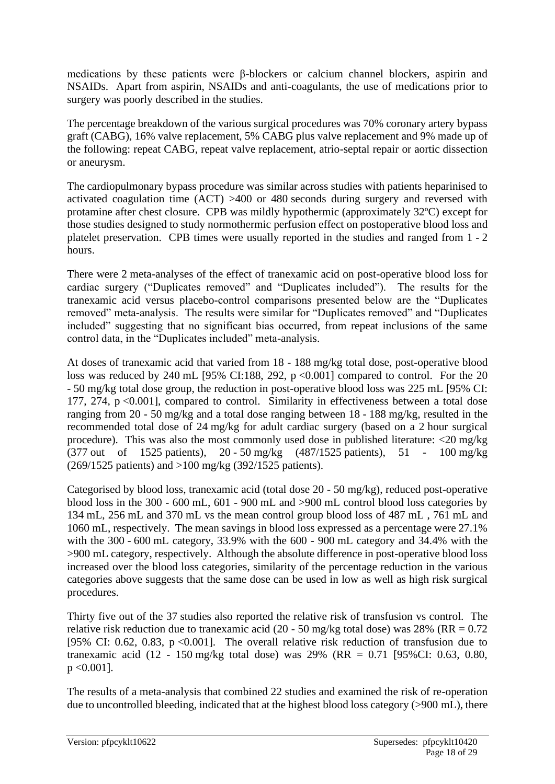medications by these patients were β-blockers or calcium channel blockers, aspirin and NSAIDs. Apart from aspirin, NSAIDs and anti-coagulants, the use of medications prior to surgery was poorly described in the studies.

The percentage breakdown of the various surgical procedures was 70% coronary artery bypass graft (CABG), 16% valve replacement, 5% CABG plus valve replacement and 9% made up of the following: repeat CABG, repeat valve replacement, atrio-septal repair or aortic dissection or aneurysm.

The cardiopulmonary bypass procedure was similar across studies with patients heparinised to activated coagulation time (ACT) >400 or 480 seconds during surgery and reversed with protamine after chest closure. CPB was mildly hypothermic (approximately 32ºC) except for those studies designed to study normothermic perfusion effect on postoperative blood loss and platelet preservation. CPB times were usually reported in the studies and ranged from 1 - 2 hours.

There were 2 meta-analyses of the effect of tranexamic acid on post-operative blood loss for cardiac surgery ("Duplicates removed" and "Duplicates included"). The results for the tranexamic acid versus placebo-control comparisons presented below are the "Duplicates removed" meta-analysis. The results were similar for "Duplicates removed" and "Duplicates included" suggesting that no significant bias occurred, from repeat inclusions of the same control data, in the "Duplicates included" meta-analysis.

At doses of tranexamic acid that varied from 18 - 188 mg/kg total dose, post-operative blood loss was reduced by 240 mL [95% CI:188, 292, p <0.001] compared to control. For the 20 - 50 mg/kg total dose group, the reduction in post-operative blood loss was 225 mL [95% CI: 177, 274, p <0.001], compared to control. Similarity in effectiveness between a total dose ranging from 20 - 50 mg/kg and a total dose ranging between 18 - 188 mg/kg, resulted in the recommended total dose of 24 mg/kg for adult cardiac surgery (based on a 2 hour surgical procedure). This was also the most commonly used dose in published literature: <20 mg/kg (377 out of 1525 patients), 20 - 50 mg/kg (487/1525 patients), 51 - 100 mg/kg (269/1525 patients) and >100 mg/kg (392/1525 patients).

Categorised by blood loss, tranexamic acid (total dose 20 - 50 mg/kg), reduced post-operative blood loss in the 300 - 600 mL, 601 - 900 mL and >900 mL control blood loss categories by 134 mL, 256 mL and 370 mL vs the mean control group blood loss of 487 mL , 761 mL and 1060 mL, respectively. The mean savings in blood loss expressed as a percentage were 27.1% with the 300 - 600 mL category, 33.9% with the 600 - 900 mL category and 34.4% with the >900 mL category, respectively. Although the absolute difference in post-operative blood loss increased over the blood loss categories, similarity of the percentage reduction in the various categories above suggests that the same dose can be used in low as well as high risk surgical procedures.

Thirty five out of the 37 studies also reported the relative risk of transfusion vs control. The relative risk reduction due to tranexamic acid (20 - 50 mg/kg total dose) was 28% (RR =  $0.72$ ) [95% CI: 0.62, 0.83, p <0.001]. The overall relative risk reduction of transfusion due to tranexamic acid (12 - 150 mg/kg total dose) was 29% (RR = 0.71 [95%CI: 0.63, 0.80, p <0.001].

The results of a meta-analysis that combined 22 studies and examined the risk of re-operation due to uncontrolled bleeding, indicated that at the highest blood loss category (>900 mL), there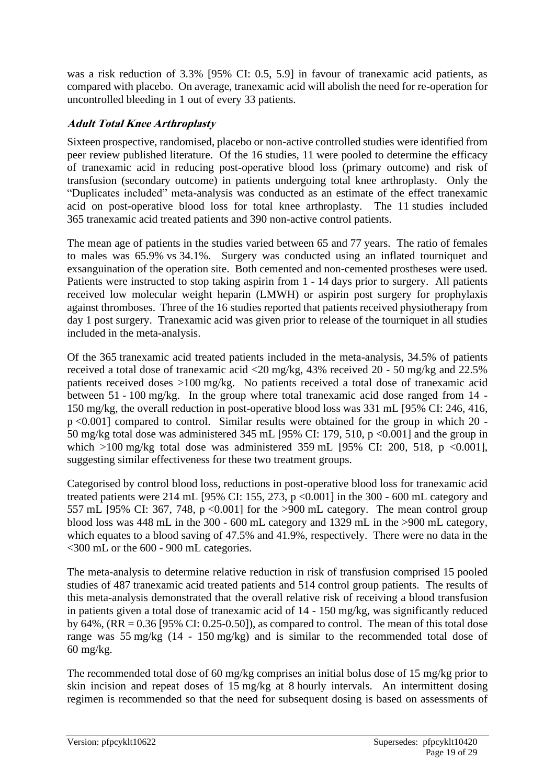was a risk reduction of 3.3% [95% CI: 0.5, 5.9] in favour of tranexamic acid patients, as compared with placebo. On average, tranexamic acid will abolish the need for re-operation for uncontrolled bleeding in 1 out of every 33 patients.

### **Adult Total Knee Arthroplasty**

Sixteen prospective, randomised, placebo or non-active controlled studies were identified from peer review published literature. Of the 16 studies, 11 were pooled to determine the efficacy of tranexamic acid in reducing post-operative blood loss (primary outcome) and risk of transfusion (secondary outcome) in patients undergoing total knee arthroplasty. Only the "Duplicates included" meta-analysis was conducted as an estimate of the effect tranexamic acid on post-operative blood loss for total knee arthroplasty. The 11 studies included 365 tranexamic acid treated patients and 390 non-active control patients.

The mean age of patients in the studies varied between 65 and 77 years. The ratio of females to males was 65.9% vs 34.1%. Surgery was conducted using an inflated tourniquet and exsanguination of the operation site. Both cemented and non-cemented prostheses were used. Patients were instructed to stop taking aspirin from 1 - 14 days prior to surgery. All patients received low molecular weight heparin (LMWH) or aspirin post surgery for prophylaxis against thromboses. Three of the 16 studies reported that patients received physiotherapy from day 1 post surgery. Tranexamic acid was given prior to release of the tourniquet in all studies included in the meta-analysis.

Of the 365 tranexamic acid treated patients included in the meta-analysis, 34.5% of patients received a total dose of tranexamic acid <20 mg/kg, 43% received 20 - 50 mg/kg and 22.5% patients received doses >100 mg/kg. No patients received a total dose of tranexamic acid between 51 - 100 mg/kg. In the group where total tranexamic acid dose ranged from 14 - 150 mg/kg, the overall reduction in post-operative blood loss was 331 mL [95% CI: 246, 416, p <0.001] compared to control. Similar results were obtained for the group in which 20 - 50 mg/kg total dose was administered 345 mL [95% CI: 179, 510, p <0.001] and the group in which  $>100$  mg/kg total dose was administered 359 mL [95% CI: 200, 518, p <0.001], suggesting similar effectiveness for these two treatment groups.

Categorised by control blood loss, reductions in post-operative blood loss for tranexamic acid treated patients were 214 mL [95% CI: 155, 273, p <0.001] in the 300 - 600 mL category and 557 mL [95% CI: 367, 748, p <0.001] for the >900 mL category. The mean control group blood loss was 448 mL in the 300 - 600 mL category and 1329 mL in the >900 mL category, which equates to a blood saving of 47.5% and 41.9%, respectively. There were no data in the <300 mL or the 600 - 900 mL categories.

The meta-analysis to determine relative reduction in risk of transfusion comprised 15 pooled studies of 487 tranexamic acid treated patients and 514 control group patients. The results of this meta-analysis demonstrated that the overall relative risk of receiving a blood transfusion in patients given a total dose of tranexamic acid of 14 - 150 mg/kg, was significantly reduced by 64%,  $(RR = 0.36$  [95% CI: 0.25-0.50]), as compared to control. The mean of this total dose range was 55 mg/kg (14 - 150 mg/kg) and is similar to the recommended total dose of 60 mg/kg.

The recommended total dose of 60 mg/kg comprises an initial bolus dose of 15 mg/kg prior to skin incision and repeat doses of 15 mg/kg at 8 hourly intervals. An intermittent dosing regimen is recommended so that the need for subsequent dosing is based on assessments of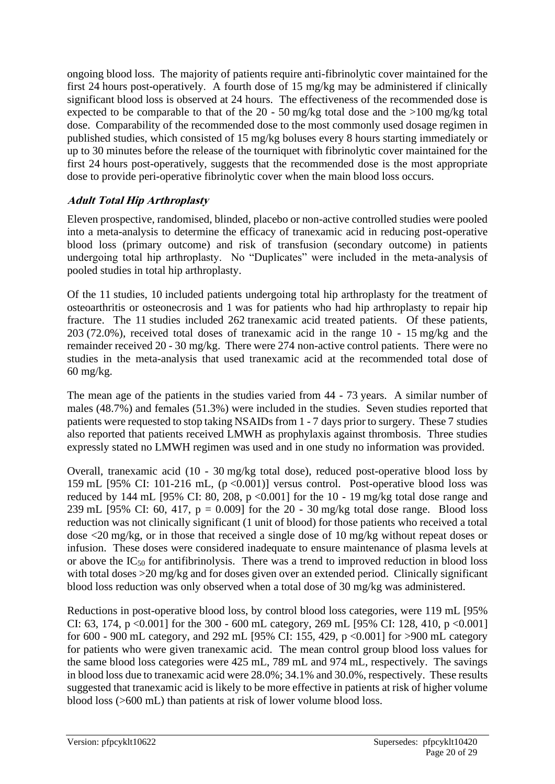ongoing blood loss. The majority of patients require anti-fibrinolytic cover maintained for the first 24 hours post-operatively. A fourth dose of 15 mg/kg may be administered if clinically significant blood loss is observed at 24 hours. The effectiveness of the recommended dose is expected to be comparable to that of the 20 - 50 mg/kg total dose and the >100 mg/kg total dose. Comparability of the recommended dose to the most commonly used dosage regimen in published studies, which consisted of 15 mg/kg boluses every 8 hours starting immediately or up to 30 minutes before the release of the tourniquet with fibrinolytic cover maintained for the first 24 hours post-operatively, suggests that the recommended dose is the most appropriate dose to provide peri-operative fibrinolytic cover when the main blood loss occurs.

# **Adult Total Hip Arthroplasty**

Eleven prospective, randomised, blinded, placebo or non-active controlled studies were pooled into a meta-analysis to determine the efficacy of tranexamic acid in reducing post-operative blood loss (primary outcome) and risk of transfusion (secondary outcome) in patients undergoing total hip arthroplasty. No "Duplicates" were included in the meta-analysis of pooled studies in total hip arthroplasty.

Of the 11 studies, 10 included patients undergoing total hip arthroplasty for the treatment of osteoarthritis or osteonecrosis and 1 was for patients who had hip arthroplasty to repair hip fracture. The 11 studies included 262 tranexamic acid treated patients. Of these patients, 203 (72.0%), received total doses of tranexamic acid in the range 10 - 15 mg/kg and the remainder received 20 - 30 mg/kg. There were 274 non-active control patients. There were no studies in the meta-analysis that used tranexamic acid at the recommended total dose of 60 mg/kg.

The mean age of the patients in the studies varied from 44 - 73 years. A similar number of males (48.7%) and females (51.3%) were included in the studies. Seven studies reported that patients were requested to stop taking NSAIDs from 1 - 7 days prior to surgery. These 7 studies also reported that patients received LMWH as prophylaxis against thrombosis. Three studies expressly stated no LMWH regimen was used and in one study no information was provided.

Overall, tranexamic acid (10 - 30 mg/kg total dose), reduced post-operative blood loss by 159 mL [95% CI: 101-216 mL, (p <0.001)] versus control. Post-operative blood loss was reduced by 144 mL [95% CI: 80, 208, p <0.001] for the 10 - 19 mg/kg total dose range and 239 mL [95% CI: 60, 417,  $p = 0.009$ ] for the 20 - 30 mg/kg total dose range. Blood loss reduction was not clinically significant (1 unit of blood) for those patients who received a total dose <20 mg/kg, or in those that received a single dose of 10 mg/kg without repeat doses or infusion. These doses were considered inadequate to ensure maintenance of plasma levels at or above the  $IC_{50}$  for antifibrinolysis. There was a trend to improved reduction in blood loss with total doses >20 mg/kg and for doses given over an extended period. Clinically significant blood loss reduction was only observed when a total dose of 30 mg/kg was administered.

Reductions in post-operative blood loss, by control blood loss categories, were 119 mL [95% CI: 63, 174, p <0.001] for the 300 - 600 mL category, 269 mL [95% CI: 128, 410, p <0.001] for 600 - 900 mL category, and 292 mL [95% CI: 155, 429, p <0.001] for >900 mL category for patients who were given tranexamic acid. The mean control group blood loss values for the same blood loss categories were 425 mL, 789 mL and 974 mL, respectively. The savings in blood loss due to tranexamic acid were 28.0%; 34.1% and 30.0%, respectively. These results suggested that tranexamic acid is likely to be more effective in patients at risk of higher volume blood loss (>600 mL) than patients at risk of lower volume blood loss.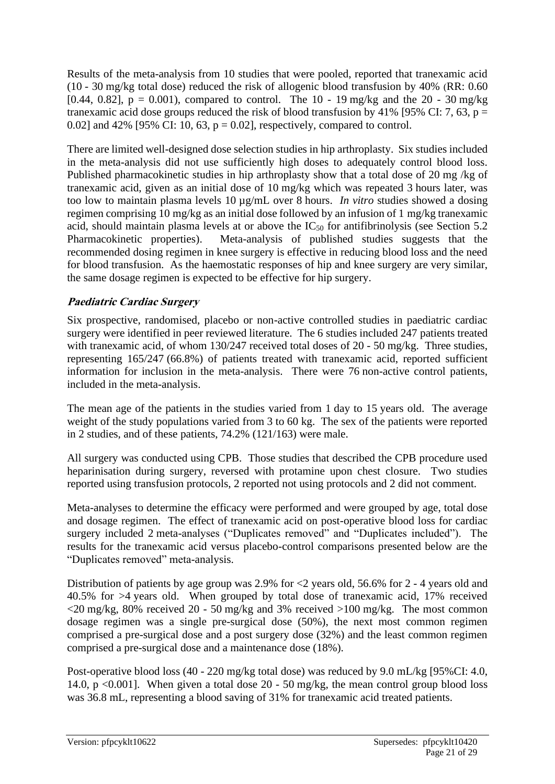Results of the meta-analysis from 10 studies that were pooled, reported that tranexamic acid (10 - 30 mg/kg total dose) reduced the risk of allogenic blood transfusion by 40% (RR: 0.60 [0.44, 0.82],  $p = 0.001$ ), compared to control. The 10 - 19 mg/kg and the 20 - 30 mg/kg tranexamic acid dose groups reduced the risk of blood transfusion by 41% [95% CI: 7, 63,  $p =$ 0.02] and 42% [95% CI: 10, 63,  $p = 0.02$ ], respectively, compared to control.

There are limited well-designed dose selection studies in hip arthroplasty. Six studies included in the meta-analysis did not use sufficiently high doses to adequately control blood loss. Published pharmacokinetic studies in hip arthroplasty show that a total dose of 20 mg /kg of tranexamic acid, given as an initial dose of 10 mg/kg which was repeated 3 hours later, was too low to maintain plasma levels 10 µg/mL over 8 hours. *In vitro* studies showed a dosing regimen comprising 10 mg/kg as an initial dose followed by an infusion of 1 mg/kg tranexamic acid, should maintain plasma levels at or above the  $IC_{50}$  for antifibrinolysis (see Section 5.2) Pharmacokinetic properties). Meta-analysis of published studies suggests that the recommended dosing regimen in knee surgery is effective in reducing blood loss and the need for blood transfusion. As the haemostatic responses of hip and knee surgery are very similar, the same dosage regimen is expected to be effective for hip surgery.

# **Paediatric Cardiac Surgery**

Six prospective, randomised, placebo or non-active controlled studies in paediatric cardiac surgery were identified in peer reviewed literature. The 6 studies included 247 patients treated with tranexamic acid, of whom 130/247 received total doses of 20 - 50 mg/kg. Three studies, representing 165/247 (66.8%) of patients treated with tranexamic acid, reported sufficient information for inclusion in the meta-analysis. There were 76 non-active control patients, included in the meta-analysis.

The mean age of the patients in the studies varied from 1 day to 15 years old. The average weight of the study populations varied from 3 to 60 kg. The sex of the patients were reported in 2 studies, and of these patients, 74.2% (121/163) were male.

All surgery was conducted using CPB. Those studies that described the CPB procedure used heparinisation during surgery, reversed with protamine upon chest closure. Two studies reported using transfusion protocols, 2 reported not using protocols and 2 did not comment.

Meta-analyses to determine the efficacy were performed and were grouped by age, total dose and dosage regimen. The effect of tranexamic acid on post-operative blood loss for cardiac surgery included 2 meta-analyses ("Duplicates removed" and "Duplicates included"). The results for the tranexamic acid versus placebo-control comparisons presented below are the "Duplicates removed" meta-analysis.

Distribution of patients by age group was 2.9% for <2 years old, 56.6% for 2 - 4 years old and 40.5% for >4 years old. When grouped by total dose of tranexamic acid, 17% received  $\langle 20 \text{ mg/kg}, 80\%$  received 20 - 50 mg/kg and 3% received  $>100$  mg/kg. The most common dosage regimen was a single pre-surgical dose (50%), the next most common regimen comprised a pre-surgical dose and a post surgery dose (32%) and the least common regimen comprised a pre-surgical dose and a maintenance dose (18%).

Post-operative blood loss (40 - 220 mg/kg total dose) was reduced by 9.0 mL/kg [95%CI: 4.0, 14.0, p <0.001]. When given a total dose 20 - 50 mg/kg, the mean control group blood loss was 36.8 mL, representing a blood saving of 31% for tranexamic acid treated patients.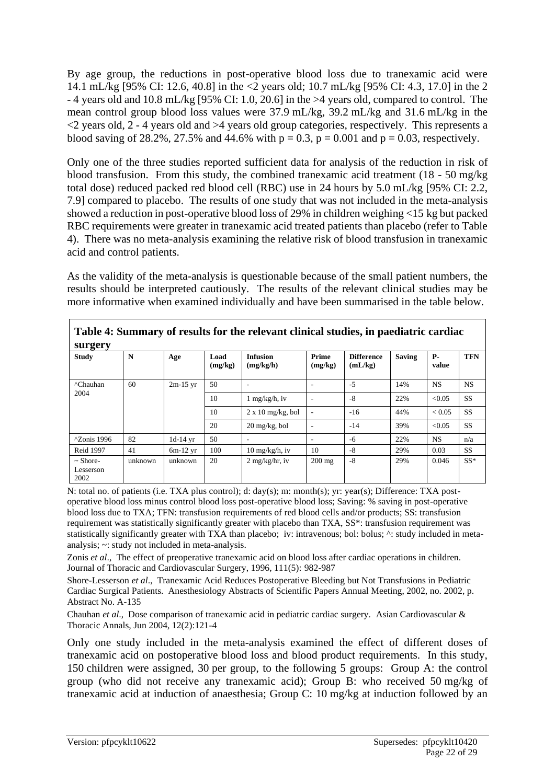By age group, the reductions in post-operative blood loss due to tranexamic acid were 14.1 mL/kg [95% CI: 12.6, 40.8] in the <2 years old; 10.7 mL/kg [95% CI: 4.3, 17.0] in the 2 - 4 years old and 10.8 mL/kg [95% CI: 1.0, 20.6] in the >4 years old, compared to control. The mean control group blood loss values were 37.9 mL/kg, 39.2 mL/kg and 31.6 mL/kg in the  $\langle 2 \rangle$  years old, 2 - 4 years old and  $>4$  years old group categories, respectively. This represents a blood saving of 28.2%, 27.5% and 44.6% with  $p = 0.3$ ,  $p = 0.001$  and  $p = 0.03$ , respectively.

Only one of the three studies reported sufficient data for analysis of the reduction in risk of blood transfusion. From this study, the combined tranexamic acid treatment (18 - 50 mg/kg total dose) reduced packed red blood cell (RBC) use in 24 hours by 5.0 mL/kg [95% CI: 2.2, 7.9] compared to placebo. The results of one study that was not included in the meta-analysis showed a reduction in post-operative blood loss of 29% in children weighing <15 kg but packed RBC requirements were greater in tranexamic acid treated patients than placebo (refer to Table 4). There was no meta-analysis examining the relative risk of blood transfusion in tranexamic acid and control patients.

As the validity of the meta-analysis is questionable because of the small patient numbers, the results should be interpreted cautiously. The results of the relevant clinical studies may be more informative when examined individually and have been summarised in the table below.

| Table 4: Summary of results for the relevant clinical studies, in paediatric cardiac<br>surgery |         |            |                 |                                        |                          |                              |               |                    |            |
|-------------------------------------------------------------------------------------------------|---------|------------|-----------------|----------------------------------------|--------------------------|------------------------------|---------------|--------------------|------------|
| <b>Study</b>                                                                                    | N       | Age        | Load<br>(mg/kg) | <b>Infusion</b><br>(mg/kg/h)           | Prime<br>(mg/kg)         | <b>Difference</b><br>(mL/kg) | <b>Saving</b> | <b>P-</b><br>value | <b>TFN</b> |
| <sup>^</sup> Chauhan                                                                            | 60      | $2m-15$ yr | 50              |                                        |                          | $-5$                         | 14%           | <b>NS</b>          | <b>NS</b>  |
| 2004                                                                                            |         |            | 10              | $1$ mg/kg/h, iv                        | ٠                        | $-8$                         | 22%           | < 0.05             | <b>SS</b>  |
|                                                                                                 |         |            | 10              | $2 \times 10$ mg/kg, bol               | $\overline{\phantom{a}}$ | $-16$                        | 44%           | ${}< 0.05$         | <b>SS</b>  |
|                                                                                                 |         |            | 20              | $20 \frac{\text{mg}}{\text{kg}}$ , bol | $\overline{\phantom{a}}$ | $-14$                        | 39%           | < 0.05             | <b>SS</b>  |
| ^Zonis 1996                                                                                     | 82      | $1d-14$ yr | 50              |                                        | ۰                        | -6                           | 22%           | <b>NS</b>          | n/a        |
| <b>Reid 1997</b>                                                                                | 41      | $6m-12$ yr | 100             | $10 \text{ mg/kg/h}$ , iv              | 10                       | $-8$                         | 29%           | 0.03               | <b>SS</b>  |
| $\sim$ Shore-<br>Lesserson<br>2002                                                              | unknown | unknown    | 20              | $2 \text{ mg/kg/hr}$ , iv              | $200 \text{ mg}$         | $-8$                         | 29%           | 0.046              | $SS*$      |

N: total no. of patients (i.e. TXA plus control); d: day(s); m: month(s); yr: year(s); Difference: TXA postoperative blood loss minus control blood loss post-operative blood loss; Saving: % saving in post-operative blood loss due to TXA; TFN: transfusion requirements of red blood cells and/or products; SS: transfusion requirement was statistically significantly greater with placebo than TXA, SS\*: transfusion requirement was statistically significantly greater with TXA than placebo; iv: intravenous; bol: bolus; ^: study included in metaanalysis; ~: study not included in meta-analysis.

Zonis *et al*., The effect of preoperative tranexamic acid on blood loss after cardiac operations in children. Journal of Thoracic and Cardiovascular Surgery, 1996, 111(5): 982-987

Shore-Lesserson *et al*., Tranexamic Acid Reduces Postoperative Bleeding but Not Transfusions in Pediatric Cardiac Surgical Patients. Anesthesiology Abstracts of Scientific Papers Annual Meeting, 2002, no. 2002, p. Abstract No. A-135

Chauhan *et al*., Dose comparison of tranexamic acid in pediatric cardiac surgery. Asian Cardiovascular & Thoracic Annals, Jun 2004, 12(2):121-4

Only one study included in the meta-analysis examined the effect of different doses of tranexamic acid on postoperative blood loss and blood product requirements. In this study, 150 children were assigned, 30 per group, to the following 5 groups: Group A: the control group (who did not receive any tranexamic acid); Group B: who received 50 mg/kg of tranexamic acid at induction of anaesthesia; Group C: 10 mg/kg at induction followed by an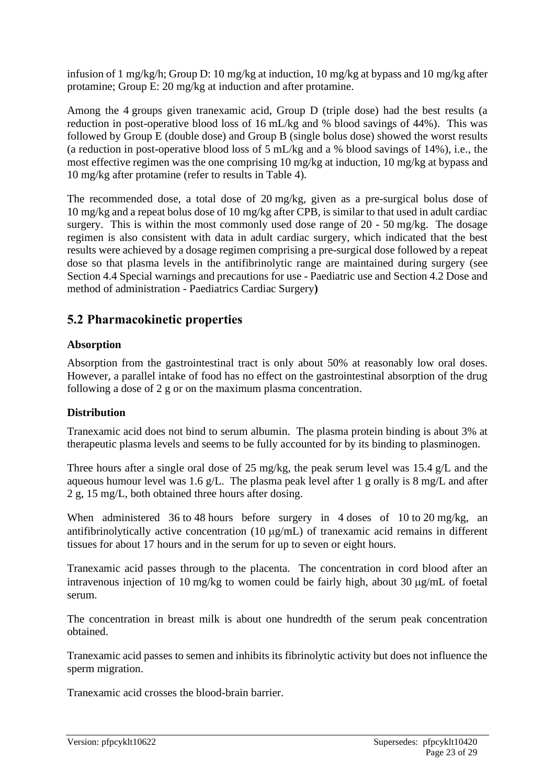infusion of 1 mg/kg/h; Group D: 10 mg/kg at induction, 10 mg/kg at bypass and 10 mg/kg after protamine; Group E: 20 mg/kg at induction and after protamine.

Among the 4 groups given tranexamic acid, Group D (triple dose) had the best results (a reduction in post-operative blood loss of 16 mL/kg and % blood savings of 44%). This was followed by Group E (double dose) and Group B (single bolus dose) showed the worst results (a reduction in post-operative blood loss of 5 mL/kg and a % blood savings of 14%), i.e., the most effective regimen was the one comprising 10 mg/kg at induction, 10 mg/kg at bypass and 10 mg/kg after protamine (refer to results in Table 4).

The recommended dose, a total dose of 20 mg/kg, given as a pre-surgical bolus dose of 10 mg/kg and a repeat bolus dose of 10 mg/kg after CPB, is similar to that used in adult cardiac surgery. This is within the most commonly used dose range of 20 - 50 mg/kg. The dosage regimen is also consistent with data in adult cardiac surgery, which indicated that the best results were achieved by a dosage regimen comprising a pre-surgical dose followed by a repeat dose so that plasma levels in the antifibrinolytic range are maintained during surgery (see Section 4.4 Special warnings and precautions for use - Paediatric use and Section 4.2 Dose and method of administration - Paediatrics Cardiac Surgery**)**

# **5.2 Pharmacokinetic properties**

### **Absorption**

Absorption from the gastrointestinal tract is only about 50% at reasonably low oral doses. However, a parallel intake of food has no effect on the gastrointestinal absorption of the drug following a dose of 2 g or on the maximum plasma concentration.

# **Distribution**

Tranexamic acid does not bind to serum albumin. The plasma protein binding is about 3% at therapeutic plasma levels and seems to be fully accounted for by its binding to plasminogen.

Three hours after a single oral dose of 25 mg/kg, the peak serum level was 15.4 g/L and the aqueous humour level was 1.6 g/L. The plasma peak level after 1 g orally is 8 mg/L and after 2 g, 15 mg/L, both obtained three hours after dosing.

When administered 36 to 48 hours before surgery in 4 doses of 10 to 20 mg/kg, an antifibrinolytically active concentration  $(10 \mu g/mL)$  of tranexamic acid remains in different tissues for about 17 hours and in the serum for up to seven or eight hours.

Tranexamic acid passes through to the placenta. The concentration in cord blood after an intravenous injection of 10 mg/kg to women could be fairly high, about 30  $\mu$ g/mL of foetal serum.

The concentration in breast milk is about one hundredth of the serum peak concentration obtained.

Tranexamic acid passes to semen and inhibits its fibrinolytic activity but does not influence the sperm migration.

Tranexamic acid crosses the blood-brain barrier.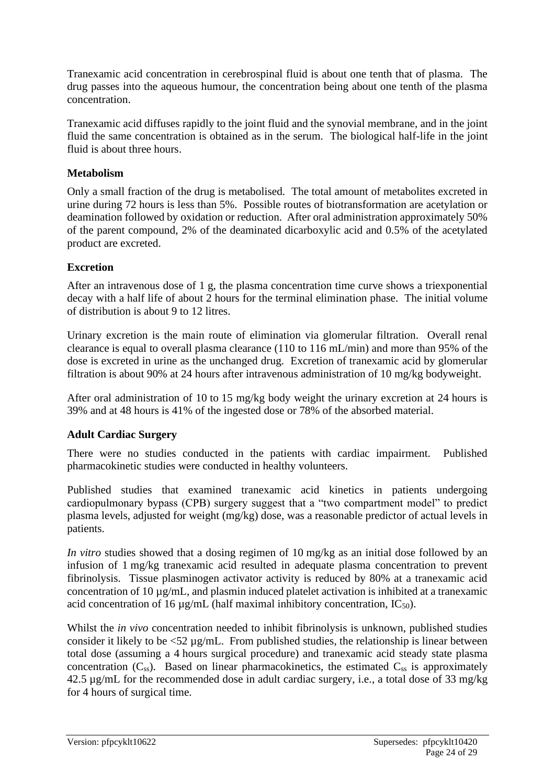Tranexamic acid concentration in cerebrospinal fluid is about one tenth that of plasma. The drug passes into the aqueous humour, the concentration being about one tenth of the plasma concentration.

Tranexamic acid diffuses rapidly to the joint fluid and the synovial membrane, and in the joint fluid the same concentration is obtained as in the serum. The biological half-life in the joint fluid is about three hours.

#### **Metabolism**

Only a small fraction of the drug is metabolised. The total amount of metabolites excreted in urine during 72 hours is less than 5%. Possible routes of biotransformation are acetylation or deamination followed by oxidation or reduction. After oral administration approximately 50% of the parent compound, 2% of the deaminated dicarboxylic acid and 0.5% of the acetylated product are excreted.

### **Excretion**

After an intravenous dose of 1 g, the plasma concentration time curve shows a triexponential decay with a half life of about 2 hours for the terminal elimination phase. The initial volume of distribution is about 9 to 12 litres.

Urinary excretion is the main route of elimination via glomerular filtration. Overall renal clearance is equal to overall plasma clearance (110 to 116 mL/min) and more than 95% of the dose is excreted in urine as the unchanged drug. Excretion of tranexamic acid by glomerular filtration is about 90% at 24 hours after intravenous administration of 10 mg/kg bodyweight.

After oral administration of 10 to 15 mg/kg body weight the urinary excretion at 24 hours is 39% and at 48 hours is 41% of the ingested dose or 78% of the absorbed material.

### **Adult Cardiac Surgery**

There were no studies conducted in the patients with cardiac impairment. Published pharmacokinetic studies were conducted in healthy volunteers.

Published studies that examined tranexamic acid kinetics in patients undergoing cardiopulmonary bypass (CPB) surgery suggest that a "two compartment model" to predict plasma levels, adjusted for weight (mg/kg) dose, was a reasonable predictor of actual levels in patients.

*In vitro* studies showed that a dosing regimen of 10 mg/kg as an initial dose followed by an infusion of 1 mg/kg tranexamic acid resulted in adequate plasma concentration to prevent fibrinolysis. Tissue plasminogen activator activity is reduced by 80% at a tranexamic acid concentration of 10 µg/mL, and plasmin induced platelet activation is inhibited at a tranexamic acid concentration of 16  $\mu$ g/mL (half maximal inhibitory concentration, IC<sub>50</sub>).

Whilst the *in vivo* concentration needed to inhibit fibrinolysis is unknown, published studies consider it likely to be  $\langle 52 \mu g/mL$ . From published studies, the relationship is linear between total dose (assuming a 4 hours surgical procedure) and tranexamic acid steady state plasma concentration  $(C_{ss})$ . Based on linear pharmacokinetics, the estimated  $C_{ss}$  is approximately 42.5 µg/mL for the recommended dose in adult cardiac surgery, i.e., a total dose of 33 mg/kg for 4 hours of surgical time.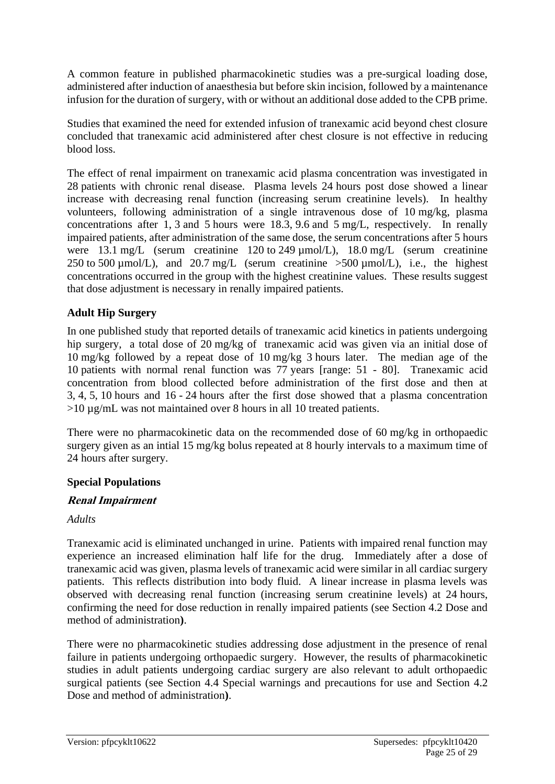A common feature in published pharmacokinetic studies was a pre-surgical loading dose, administered after induction of anaesthesia but before skin incision, followed by a maintenance infusion for the duration of surgery, with or without an additional dose added to the CPB prime.

Studies that examined the need for extended infusion of tranexamic acid beyond chest closure concluded that tranexamic acid administered after chest closure is not effective in reducing blood loss.

The effect of renal impairment on tranexamic acid plasma concentration was investigated in 28 patients with chronic renal disease. Plasma levels 24 hours post dose showed a linear increase with decreasing renal function (increasing serum creatinine levels). In healthy volunteers, following administration of a single intravenous dose of 10 mg/kg, plasma concentrations after 1, 3 and 5 hours were 18.3, 9.6 and 5 mg/L, respectively. In renally impaired patients, after administration of the same dose, the serum concentrations after 5 hours were 13.1 mg/L (serum creatinine 120 to 249 µmol/L), 18.0 mg/L (serum creatinine 250 to 500  $\mu$ mol/L), and 20.7 mg/L (serum creatinine  $>$  500  $\mu$ mol/L), i.e., the highest concentrations occurred in the group with the highest creatinine values. These results suggest that dose adjustment is necessary in renally impaired patients.

# **Adult Hip Surgery**

In one published study that reported details of tranexamic acid kinetics in patients undergoing hip surgery, a total dose of 20 mg/kg of tranexamic acid was given via an initial dose of 10 mg/kg followed by a repeat dose of 10 mg/kg 3 hours later. The median age of the 10 patients with normal renal function was 77 years [range: 51 - 80]. Tranexamic acid concentration from blood collected before administration of the first dose and then at 3, 4, 5, 10 hours and 16 - 24 hours after the first dose showed that a plasma concentration >10 µg/mL was not maintained over 8 hours in all 10 treated patients.

There were no pharmacokinetic data on the recommended dose of 60 mg/kg in orthopaedic surgery given as an intial 15 mg/kg bolus repeated at 8 hourly intervals to a maximum time of 24 hours after surgery.

### **Special Populations**

### **Renal Impairment**

### *Adults*

Tranexamic acid is eliminated unchanged in urine. Patients with impaired renal function may experience an increased elimination half life for the drug. Immediately after a dose of tranexamic acid was given, plasma levels of tranexamic acid were similar in all cardiac surgery patients. This reflects distribution into body fluid. A linear increase in plasma levels was observed with decreasing renal function (increasing serum creatinine levels) at 24 hours, confirming the need for dose reduction in renally impaired patients (see Section 4.2 Dose and method of administration**)**.

There were no pharmacokinetic studies addressing dose adjustment in the presence of renal failure in patients undergoing orthopaedic surgery. However, the results of pharmacokinetic studies in adult patients undergoing cardiac surgery are also relevant to adult orthopaedic surgical patients (see Section 4.4 Special warnings and precautions for use and Section 4.2 Dose and method of administration**)**.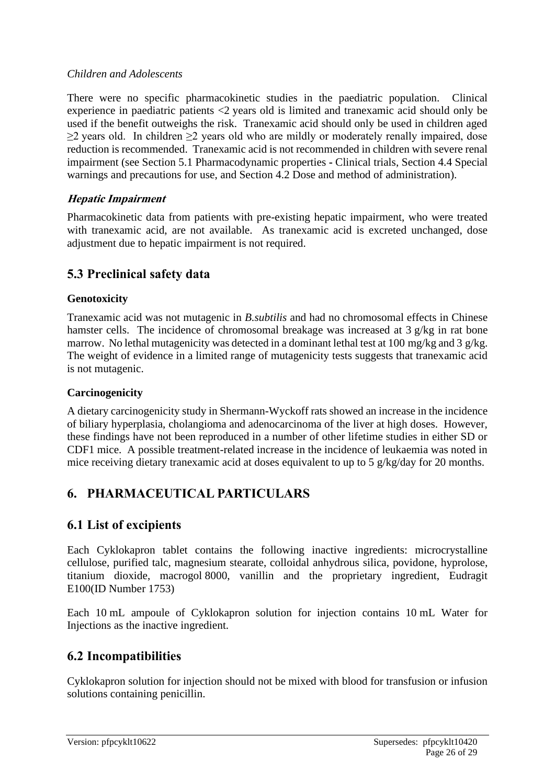#### *Children and Adolescents*

There were no specific pharmacokinetic studies in the paediatric population. Clinical experience in paediatric patients <2 years old is limited and tranexamic acid should only be used if the benefit outweighs the risk. Tranexamic acid should only be used in children aged ≥2 years old. In children ≥2 years old who are mildly or moderately renally impaired, dose reduction is recommended. Tranexamic acid is not recommended in children with severe renal impairment (see Section 5.1 Pharmacodynamic properties **-** Clinical trials, Section 4.4 Special warnings and precautions for use, and Section 4.2 Dose and method of administration).

### **Hepatic Impairment**

Pharmacokinetic data from patients with pre-existing hepatic impairment, who were treated with tranexamic acid, are not available. As tranexamic acid is excreted unchanged, dose adjustment due to hepatic impairment is not required.

# **5.3 Preclinical safety data**

#### **Genotoxicity**

Tranexamic acid was not mutagenic in *B.subtilis* and had no chromosomal effects in Chinese hamster cells. The incidence of chromosomal breakage was increased at 3 g/kg in rat bone marrow. No lethal mutagenicity was detected in a dominant lethal test at 100 mg/kg and 3 g/kg. The weight of evidence in a limited range of mutagenicity tests suggests that tranexamic acid is not mutagenic.

#### **Carcinogenicity**

A dietary carcinogenicity study in Shermann-Wyckoff rats showed an increase in the incidence of biliary hyperplasia, cholangioma and adenocarcinoma of the liver at high doses. However, these findings have not been reproduced in a number of other lifetime studies in either SD or CDF1 mice. A possible treatment-related increase in the incidence of leukaemia was noted in mice receiving dietary tranexamic acid at doses equivalent to up to 5 g/kg/day for 20 months.

# **6. PHARMACEUTICAL PARTICULARS**

# **6.1 List of excipients**

Each Cyklokapron tablet contains the following inactive ingredients: microcrystalline cellulose, purified talc, magnesium stearate, colloidal anhydrous silica, povidone, hyprolose, titanium dioxide, macrogol 8000, vanillin and the proprietary ingredient, Eudragit E100(ID Number 1753)

Each 10 mL ampoule of Cyklokapron solution for injection contains 10 mL Water for Injections as the inactive ingredient.

# **6.2 Incompatibilities**

Cyklokapron solution for injection should not be mixed with blood for transfusion or infusion solutions containing penicillin.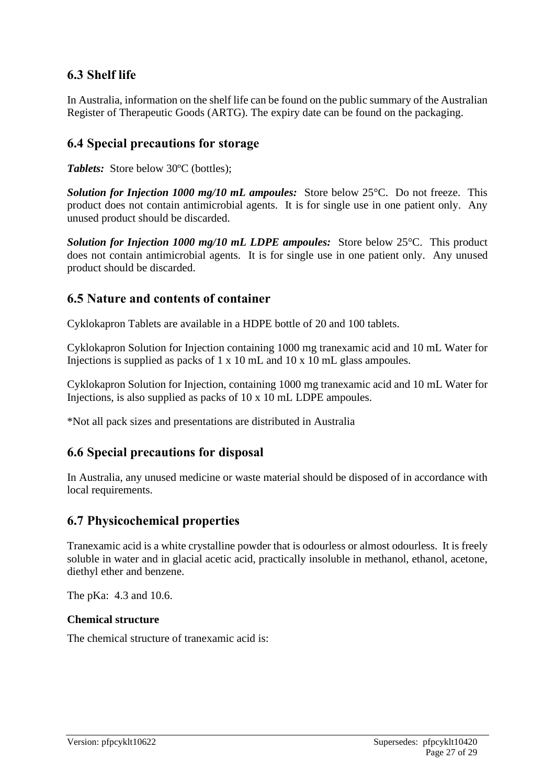# **6.3 Shelf life**

In Australia, information on the shelf life can be found on the public summary of the Australian Register of Therapeutic Goods (ARTG). The expiry date can be found on the packaging.

# **6.4 Special precautions for storage**

*Tablets:* Store below 30ºC (bottles);

*Solution for Injection 1000 mg/10 mL ampoules:* Store below 25°C. Do not freeze. This product does not contain antimicrobial agents. It is for single use in one patient only. Any unused product should be discarded.

*Solution for Injection 1000 mg/10 mL LDPE ampoules:* Store below 25°C. This product does not contain antimicrobial agents. It is for single use in one patient only. Any unused product should be discarded.

# **6.5 Nature and contents of container**

Cyklokapron Tablets are available in a HDPE bottle of 20 and 100 tablets.

Cyklokapron Solution for Injection containing 1000 mg tranexamic acid and 10 mL Water for Injections is supplied as packs of 1 x 10 mL and 10 x 10 mL glass ampoules.

Cyklokapron Solution for Injection, containing 1000 mg tranexamic acid and 10 mL Water for Injections, is also supplied as packs of 10 x 10 mL LDPE ampoules.

\*Not all pack sizes and presentations are distributed in Australia

# **6.6 Special precautions for disposal**

In Australia, any unused medicine or waste material should be disposed of in accordance with local requirements.

# **6.7 Physicochemical properties**

Tranexamic acid is a white crystalline powder that is odourless or almost odourless. It is freely soluble in water and in glacial acetic acid, practically insoluble in methanol, ethanol, acetone, diethyl ether and benzene.

The pKa: 4.3 and 10.6.

### **Chemical structure**

The chemical structure of tranexamic acid is: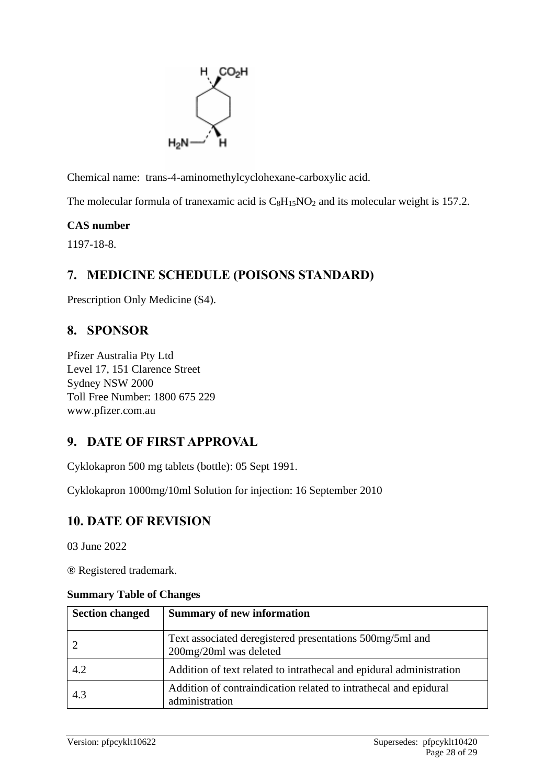

Chemical name: trans-4-aminomethylcyclohexane-carboxylic acid.

The molecular formula of tranexamic acid is  $C_8H_{15}NO_2$  and its molecular weight is 157.2.

# **CAS number**

1197-18-8.

# **7. MEDICINE SCHEDULE (POISONS STANDARD)**

Prescription Only Medicine (S4).

# **8. SPONSOR**

Pfizer Australia Pty Ltd Level 17, 151 Clarence Street Sydney NSW 2000 Toll Free Number: 1800 675 229 www.pfizer.com.au

# **9. DATE OF FIRST APPROVAL**

Cyklokapron 500 mg tablets (bottle): 05 Sept 1991.

Cyklokapron 1000mg/10ml Solution for injection: 16 September 2010

# **10. DATE OF REVISION**

03 June 2022

® Registered trademark.

#### **Summary Table of Changes**

| <b>Section changed</b> | <b>Summary of new information</b>                                                  |
|------------------------|------------------------------------------------------------------------------------|
|                        | Text associated deregistered presentations 500mg/5ml and<br>200mg/20ml was deleted |
| 4.2                    | Addition of text related to intrathecal and epidural administration                |
| 4.3                    | Addition of contraindication related to intrathecal and epidural<br>administration |